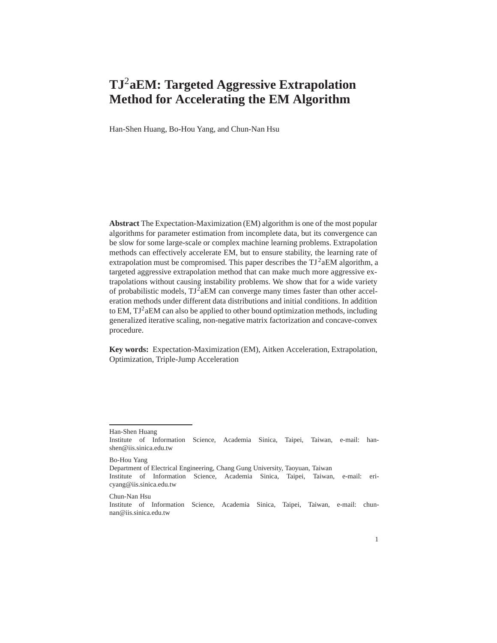# **TJ**2**aEM: Targeted Aggressive Extrapolation Method for Accelerating the EM Algorithm**

Han-Shen Huang, Bo-Hou Yang, and Chun-Nan Hsu

**Abstract** The Expectation-Maximization (EM) algorithm is one of the most popular algorithms for parameter estimation from incomplete data, but its convergence can be slow for some large-scale or complex machine learning problems. Extrapolation methods can effectively accelerate EM, but to ensure stability, the learning rate of extrapolation must be compromised. This paper describes the  $TI^2aEM$  algorithm, a targeted aggressive extrapolation method that can make much more aggressive extrapolations without causing instability problems. We show that for a wide variety of probabilistic models,  $TJ^2aEM$  can converge many times faster than other acceleration methods under different data distributions and initial conditions. In addition to EM,  $TJ^2aEM$  can also be applied to other bound optimization methods, including generalized iterative scaling, non-negative matrix factorization and concave-convex procedure.

**Key words:** Expectation-Maximization (EM), Aitken Acceleration, Extrapolation, Optimization, Triple-Jump Acceleration

Bo-Hou Yang

Department of Electrical Engineering, Chang Gung University, Taoyuan, Taiwan

Institute of Information Science, Academia Sinica, Taipei, Taiwan, e-mail: ericyang@iis.sinica.edu.tw

Chun-Nan Hsu Institute of Information Science, Academia Sinica, Taipei, Taiwan, e-mail: chunnan@iis.sinica.edu.tw

Han-Shen Huang

Institute of Information Science, Academia Sinica, Taipei, Taiwan, e-mail: hanshen@iis.sinica.edu.tw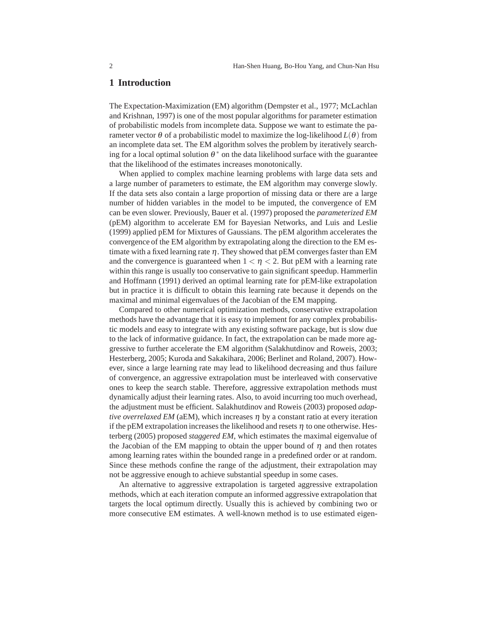#### **1 Introduction**

The Expectation-Maximization (EM) algorithm (Dempster et al., 1977; McLachlan and Krishnan, 1997) is one of the most popular algorithms for parameter estimation of probabilistic models from incomplete data. Suppose we want to estimate the parameter vector <sup>θ</sup> of a probabilistic model to maximize the log-likelihood *L*(θ) from an incomplete data set. The EM algorithm solves the problem by iteratively searching for a local optimal solution  $\theta^*$  on the data likelihood surface with the guarantee that the likelihood of the estimates increases monotonically.

When applied to complex machine learning problems with large data sets and a large number of parameters to estimate, the EM algorithm may converge slowly. If the data sets also contain a large proportion of missing data or there are a large number of hidden variables in the model to be imputed, the convergence of EM can be even slower. Previously, Bauer et al. (1997) proposed the *parameterized EM* (pEM) algorithm to accelerate EM for Bayesian Networks, and Luis and Leslie (1999) applied pEM for Mixtures of Gaussians. The pEM algorithm accelerates the convergence of the EM algorithm by extrapolating along the direction to the EM estimate with a fixed learning rate  $\eta$ . They showed that pEM converges faster than EM and the convergence is guaranteed when  $1 < \eta < 2$ . But pEM with a learning rate within this range is usually too conservative to gain significant speedup. Hammerlin and Hoffmann (1991) derived an optimal learning rate for pEM-like extrapolation but in practice it is difficult to obtain this learning rate because it depends on the maximal and minimal eigenvalues of the Jacobian of the EM mapping.

Compared to other numerical optimization methods, conservative extrapolation methods have the advantage that it is easy to implement for any complex probabilistic models and easy to integrate with any existing software package, but is slow due to the lack of informative guidance. In fact, the extrapolation can be made more aggressive to further accelerate the EM algorithm (Salakhutdinov and Roweis, 2003; Hesterberg, 2005; Kuroda and Sakakihara, 2006; Berlinet and Roland, 2007). However, since a large learning rate may lead to likelihood decreasing and thus failure of convergence, an aggressive extrapolation must be interleaved with conservative ones to keep the search stable. Therefore, aggressive extrapolation methods must dynamically adjust their learning rates. Also, to avoid incurring too much overhead, the adjustment must be efficient. Salakhutdinov and Roweis (2003) proposed *adaptive overrelaxed EM* (aEM), which increases  $\eta$  by a constant ratio at every iteration if the pEM extrapolation increases the likelihood and resets  $\eta$  to one otherwise. Hesterberg (2005) proposed *staggered EM*, which estimates the maximal eigenvalue of the Jacobian of the EM mapping to obtain the upper bound of  $\eta$  and then rotates among learning rates within the bounded range in a predefined order or at random. Since these methods confine the range of the adjustment, their extrapolation may not be aggressive enough to achieve substantial speedup in some cases.

An alternative to aggressive extrapolation is targeted aggressive extrapolation methods, which at each iteration compute an informed aggressive extrapolation that targets the local optimum directly. Usually this is achieved by combining two or more consecutive EM estimates. A well-known method is to use estimated eigen-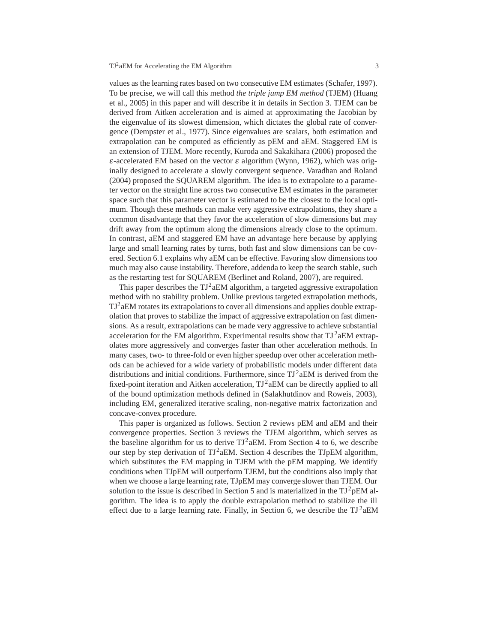values as the learning rates based on two consecutive EM estimates (Schafer, 1997). To be precise, we will call this method *the triple jump EM method* (TJEM) (Huang et al., 2005) in this paper and will describe it in details in Section 3. TJEM can be derived from Aitken acceleration and is aimed at approximating the Jacobian by the eigenvalue of its slowest dimension, which dictates the global rate of convergence (Dempster et al., 1977). Since eigenvalues are scalars, both estimation and extrapolation can be computed as efficiently as pEM and aEM. Staggered EM is an extension of TJEM. More recently, Kuroda and Sakakihara (2006) proposed the <sup>ε</sup>-accelerated EM based on the vector <sup>ε</sup> algorithm (Wynn, 1962), which was originally designed to accelerate a slowly convergent sequence. Varadhan and Roland (2004) proposed the SQUAREM algorithm. The idea is to extrapolate to a parameter vector on the straight line across two consecutive EM estimates in the parameter space such that this parameter vector is estimated to be the closest to the local optimum. Though these methods can make very aggressive extrapolations, they share a common disadvantage that they favor the acceleration of slow dimensions but may drift away from the optimum along the dimensions already close to the optimum. In contrast, aEM and staggered EM have an advantage here because by applying large and small learning rates by turns, both fast and slow dimensions can be covered. Section 6.1 explains why aEM can be effective. Favoring slow dimensions too much may also cause instability. Therefore, addenda to keep the search stable, such as the restarting test for SQUAREM (Berlinet and Roland, 2007), are required.

This paper describes the  $TJ^2aEM$  algorithm, a targeted aggressive extrapolation method with no stability problem. Unlike previous targeted extrapolation methods,  $TJ<sup>2</sup>$ aEM rotates its extrapolations to cover all dimensions and applies double extrapolation that proves to stabilize the impact of aggressive extrapolation on fast dimensions. As a result, extrapolations can be made very aggressive to achieve substantial acceleration for the EM algorithm. Experimental results show that  $TJ^2aEM$  extrapolates more aggressively and converges faster than other acceleration methods. In many cases, two- to three-fold or even higher speedup over other acceleration methods can be achieved for a wide variety of probabilistic models under different data distributions and initial conditions. Furthermore, since  $TJ^2aEM$  is derived from the fixed-point iteration and Aitken acceleration,  $TJ^2aEM$  can be directly applied to all of the bound optimization methods defined in (Salakhutdinov and Roweis, 2003), including EM, generalized iterative scaling, non-negative matrix factorization and concave-convex procedure.

This paper is organized as follows. Section 2 reviews pEM and aEM and their convergence properties. Section 3 reviews the TJEM algorithm, which serves as the baseline algorithm for us to derive  $TJ^2aEM$ . From Section 4 to 6, we describe our step by step derivation of  $TJ^2aEM$ . Section 4 describes the TJpEM algorithm, which substitutes the EM mapping in TJEM with the pEM mapping. We identify conditions when TJpEM will outperform TJEM, but the conditions also imply that when we choose a large learning rate, TJpEM may converge slower than TJEM. Our solution to the issue is described in Section 5 and is materialized in the  $TJ^2pEM$  algorithm. The idea is to apply the double extrapolation method to stabilize the ill effect due to a large learning rate. Finally, in Section 6, we describe the  $TJ^2aEM$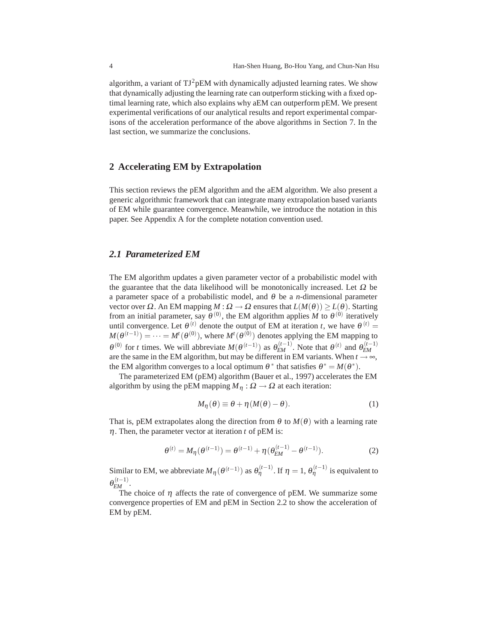algorithm, a variant of  $TJ^2pEM$  with dynamically adjusted learning rates. We show that dynamically adjusting the learning rate can outperform sticking with a fixed optimal learning rate, which also explains why aEM can outperform pEM. We present experimental verifications of our analytical results and report experimental comparisons of the acceleration performance of the above algorithms in Section 7. In the last section, we summarize the conclusions.

#### **2 Accelerating EM by Extrapolation**

This section reviews the pEM algorithm and the aEM algorithm. We also present a generic algorithmic framework that can integrate many extrapolation based variants of EM while guarantee convergence. Meanwhile, we introduce the notation in this paper. See Appendix A for the complete notation convention used.

#### *2.1 Parameterized EM*

The EM algorithm updates a given parameter vector of a probabilistic model with the guarantee that the data likelihood will be monotonically increased. Let  $\Omega$  be a parameter space of a probabilistic model, and <sup>θ</sup> be a *n*-dimensional parameter vector over <sup>Ω</sup>. An EM mapping *M* : <sup>Ω</sup> → <sup>Ω</sup> ensures that *L*(*M*(θ)) ≥ *L*(θ). Starting from an initial parameter, say  $\theta^{(0)}$ , the EM algorithm applies *M* to  $\theta^{(0)}$  iteratively until convergence. Let  $\theta^{(t)}$  denote the output of EM at iteration *t*, we have  $\theta^{(t)}$  =  $M(\theta^{(t-1)}) = \cdots = M^t(\theta^{(0)})$ , where  $M^t(\theta^{(0)})$  denotes applying the EM mapping to  $\theta^{(0)}$  for *t* times. We will abbreviate  $M(\theta^{(t-1)})$  as  $\theta_{EM}^{(t-1)}$ . Note that  $\theta^{(t)}$  and  $\theta_{EM}^{(t-1)}$ are the same in the EM algorithm, but may be different in EM variants. When  $t \rightarrow \infty$ , the EM algorithm converges to a local optimum  $\theta^*$  that satisfies  $\theta^* = M(\theta^*)$ .

The parameterized EM (pEM) algorithm (Bauer et al., 1997) accelerates the EM algorithm by using the pEM mapping  $M_n : \Omega \to \Omega$  at each iteration:

$$
M_{\eta}(\theta) \equiv \theta + \eta (M(\theta) - \theta). \tag{1}
$$

That is, pEM extrapolates along the direction from  $\theta$  to  $M(\theta)$  with a learning rate η. Then, the parameter vector at iteration *t* of pEM is:

$$
\theta^{(t)} = M_{\eta}(\theta^{(t-1)}) = \theta^{(t-1)} + \eta(\theta_{EM}^{(t-1)} - \theta^{(t-1)}).
$$
 (2)

Similar to EM, we abbreviate  $M_\eta(\theta^{(t-1)})$  as  $\theta_\eta^{(t-1)}$ . If  $\eta = 1$ ,  $\theta_\eta^{(t-1)}$  is equivalent to  $\theta_{EM}^{(t-1)}$ .

The choice of  $\eta$  affects the rate of convergence of pEM. We summarize some convergence properties of EM and pEM in Section 2.2 to show the acceleration of EM by pEM.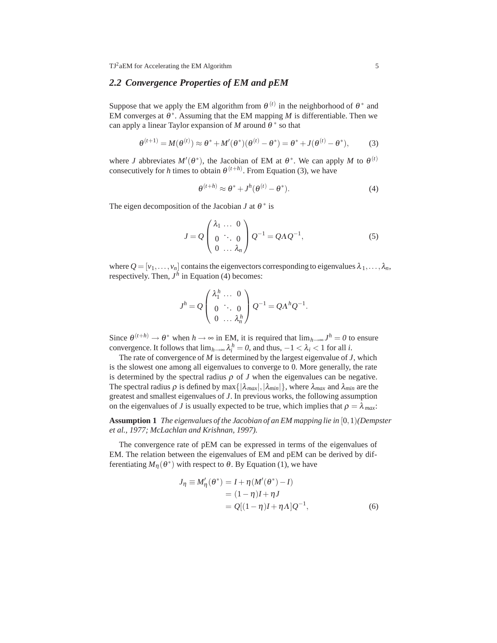# *2.2 Convergence Properties of EM and pEM*

Suppose that we apply the EM algorithm from  $\theta^{(t)}$  in the neighborhood of  $\theta^*$  and EM converges at  $\theta^*$ . Assuming that the EM mapping *M* is differentiable. Then we can apply a linear Taylor expansion of *M* around  $\theta^*$  so that

$$
\theta^{(t+1)} = M(\theta^{(t)}) \approx \theta^* + M'(\theta^*)(\theta^{(t)} - \theta^*) = \theta^* + J(\theta^{(t)} - \theta^*),
$$
 (3)

where *J* abbreviates  $M'(\theta^*)$ , the Jacobian of EM at  $\theta^*$ . We can apply *M* to  $\theta^{(t)}$ consecutively for *h* times to obtain  $\theta^{(t+h)}$ . From Equation (3), we have

$$
\theta^{(t+h)} \approx \theta^* + J^h(\theta^{(t)} - \theta^*).
$$
 (4)

The eigen decomposition of the Jacobian *J* at  $\theta^*$  is

$$
J = Q \begin{pmatrix} \lambda_1 & \dots & 0 \\ 0 & \ddots & 0 \\ 0 & \dots & \lambda_n \end{pmatrix} Q^{-1} = Q \Lambda Q^{-1}, \qquad (5)
$$

where  $Q = [v_1, \ldots, v_n]$  contains the eigenvectors corresponding to eigenvalues  $\lambda_1, \ldots, \lambda_n$ , respectively. Then,  $J<sup>h</sup>$  in Equation (4) becomes:

$$
J^h = Q \begin{pmatrix} \lambda_1^h & \dots & 0 \\ 0 & \ddots & 0 \\ 0 & \dots & \lambda_n^h \end{pmatrix} Q^{-1} = Q \Lambda^h Q^{-1}.
$$

Since  $\theta^{(t+h)} \to \theta^*$  when  $h \to \infty$  in EM, it is required that  $\lim_{h \to \infty} J^h = 0$  to ensure convergence. It follows that  $\lim_{h\to\infty} \lambda_i^h = 0$ , and thus,  $-1 < \lambda_i < 1$  for all *i*.

The rate of convergence of *M* is determined by the largest eigenvalue of *J*, which is the slowest one among all eigenvalues to converge to 0. More generally, the rate is determined by the spectral radius  $\rho$  of *J* when the eigenvalues can be negative. The spectral radius  $\rho$  is defined by max $\{|\lambda_{max}|, |\lambda_{min}|\}$ , where  $\lambda_{max}$  and  $\lambda_{min}$  are the greatest and smallest eigenvalues of *J*. In previous works, the following assumption on the eigenvalues of *J* is usually expected to be true, which implies that  $\rho = \lambda_{max}$ .

**Assumption 1** *The eigenvalues of the Jacobian of an EM mapping lie in* [0*,*1)*(Dempster et al., 1977; McLachlan and Krishnan, 1997).*

The convergence rate of pEM can be expressed in terms of the eigenvalues of EM. The relation between the eigenvalues of EM and pEM can be derived by differentiating  $M_{\eta}(\theta^*)$  with respect to  $\theta$ . By Equation (1), we have

$$
J_{\eta} \equiv M_{\eta}'(\theta^*) = I + \eta (M'(\theta^*) - I)
$$
  
= (1 - \eta)I + \eta J  
= Q[(1 - \eta)I + \eta \Lambda]Q^{-1}, (6)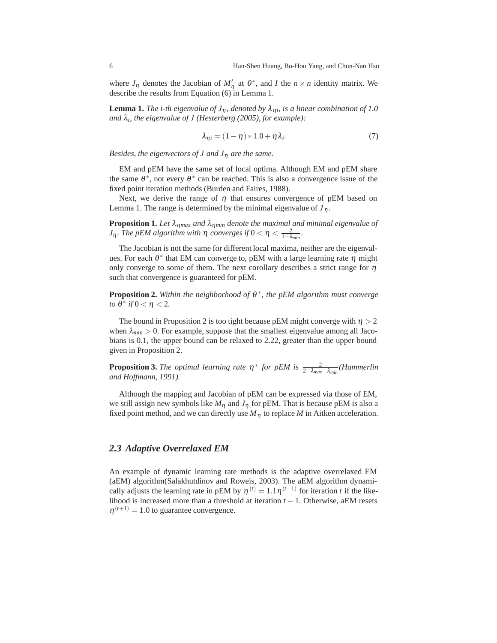where  $J_{\eta}$  denotes the Jacobian of  $M'_{\eta}$  at  $\theta^*$ , and *I* the  $n \times n$  identity matrix. We describe the results from Equation (6) in Lemma 1.

**Lemma 1.** *The i-th eigenvalue of*  $J_n$ , denoted by  $\lambda_{ni}$ , is a linear combination of 1.0 *and* λ*i, the eigenvalue of J (Hesterberg (2005), for example):*

$$
\lambda_{\eta i} = (1 - \eta) * 1.0 + \eta \lambda_i. \tag{7}
$$

*Besides, the eigenvectors of J and J*<sup>η</sup> *are the same.*

EM and pEM have the same set of local optima. Although EM and pEM share the same  $\theta^*$ , not every  $\theta^*$  can be reached. This is also a convergence issue of the fixed point iteration methods (Burden and Faires, 1988).

Next, we derive the range of  $\eta$  that ensures convergence of pEM based on Lemma 1. The range is determined by the minimal eigenvalue of  $J_\eta$ .

**Proposition 1.** Let  $\lambda_{\eta max}$  and  $\lambda_{\eta min}$  denote the maximal and minimal eigenvalue of *J*<sub>η</sub>. The pEM algorithm with η converges if  $0 < η < \frac{2}{1-\lambda_{min}}$ .

The Jacobian is not the same for different local maxima, neither are the eigenvalues. For each  $\theta^*$  that EM can converge to, pEM with a large learning rate  $\eta$  might only converge to some of them. The next corollary describes a strict range for  $\eta$ such that convergence is guaranteed for pEM.

**Proposition 2.** *Within the neighborhood of* <sup>θ</sup> <sup>∗</sup>*, the pEM algorithm must converge to*  $θ$ <sup>\*</sup> *if* 0 < η < 2*.* 

The bound in Proposition 2 is too tight because pEM might converge with  $\eta > 2$ when  $\lambda_{min} > 0$ . For example, suppose that the smallest eigenvalue among all Jacobians is 0.1, the upper bound can be relaxed to 2.22, greater than the upper bound given in Proposition 2.

**Proposition 3.** *The optimal learning rate*  $\eta^*$  *for pEM is*  $\frac{2}{2-\lambda_{max}-\lambda_{min}}$  *(Hammerlin*) *and Hoffmann, 1991).*

Although the mapping and Jacobian of pEM can be expressed via those of EM, we still assign new symbols like  $M_{\eta}$  and  $J_{\eta}$  for pEM. That is because pEM is also a fixed point method, and we can directly use  $M<sub>η</sub>$  to replace *M* in Aitken acceleration.

#### *2.3 Adaptive Overrelaxed EM*

An example of dynamic learning rate methods is the adaptive overrelaxed EM (aEM) algorithm(Salakhutdinov and Roweis, 2003). The aEM algorithm dynamically adjusts the learning rate in pEM by  $\eta^{(t)} = 1.1\eta^{(t-1)}$  for iteration *t* if the likelihood is increased more than a threshold at iteration *t* − 1. Otherwise, aEM resets  $\eta^{(t+1)} = 1.0$  to guarantee convergence.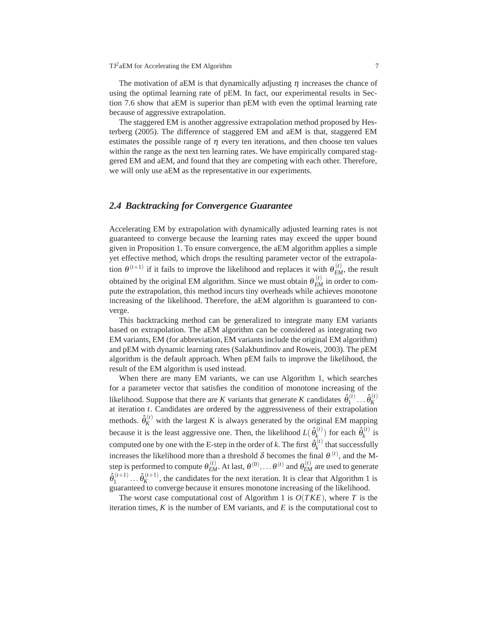The motivation of aEM is that dynamically adjusting  $\eta$  increases the chance of using the optimal learning rate of pEM. In fact, our experimental results in Section 7.6 show that aEM is superior than pEM with even the optimal learning rate because of aggressive extrapolation.

The staggered EM is another aggressive extrapolation method proposed by Hesterberg (2005). The difference of staggered EM and aEM is that, staggered EM estimates the possible range of  $\eta$  every ten iterations, and then choose ten values within the range as the next ten learning rates. We have empirically compared staggered EM and aEM, and found that they are competing with each other. Therefore, we will only use aEM as the representative in our experiments.

#### *2.4 Backtracking for Convergence Guarantee*

Accelerating EM by extrapolation with dynamically adjusted learning rates is not guaranteed to converge because the learning rates may exceed the upper bound given in Proposition 1. To ensure convergence, the aEM algorithm applies a simple yet effective method, which drops the resulting parameter vector of the extrapolation  $\theta^{(t+1)}$  if it fails to improve the likelihood and replaces it with  $\theta_{EM}^{(t)}$ , the result obtained by the original EM algorithm. Since we must obtain  $\theta_{EM}^{(t)}$  in order to compute the extrapolation, this method incurs tiny overheads while achieves monotone increasing of the likelihood. Therefore, the aEM algorithm is guaranteed to converge.

This backtracking method can be generalized to integrate many EM variants based on extrapolation. The aEM algorithm can be considered as integrating two EM variants, EM (for abbreviation, EM variants include the original EM algorithm) and pEM with dynamic learning rates (Salakhutdinov and Roweis, 2003). The pEM algorithm is the default approach. When pEM fails to improve the likelihood, the result of the EM algorithm is used instead.

When there are many EM variants, we can use Algorithm 1, which searches for a parameter vector that satisfies the condition of monotone increasing of the likelihood. Suppose that there are *K* variants that generate *K* candidates  $\hat{\theta}_1^{(t)} \dots \hat{\theta}_K^{(t)}$ at iteration *t*. Candidates are ordered by the aggressiveness of their extrapolation methods.  $\hat{\theta}_{K}^{(t)}$  with the largest *K* is always generated by the original EM mapping because it is the least aggressive one. Then, the likelihood  $L(\hat{\theta}_k^{(t)})$  for each  $\hat{\theta}_k^{(t)}$  is computed one by one with the E-step in the order of *k*. The first  $\hat{\theta}_k^{(t)}$  that successfully increases the likelihood more than a threshold  $\delta$  becomes the final  $\theta^{(t)}$ , and the Mstep is performed to compute  $\theta_{EM}^{(t)}$ . At last,  $\theta^{(0)}, \ldots \theta^{(t)}$  and  $\theta_{EM}^{(t)}$  are used to generate  $\hat{\theta}_1^{(t+1)} \dots \hat{\theta}_K^{(t+1)}$ , the candidates for the next iteration. It is clear that Algorithm 1 is guaranteed to converge because it ensures monotone increasing of the likelihood.

The worst case computational cost of Algorithm 1 is *O*(*TKE*), where *T* is the iteration times,  $K$  is the number of EM variants, and  $E$  is the computational cost to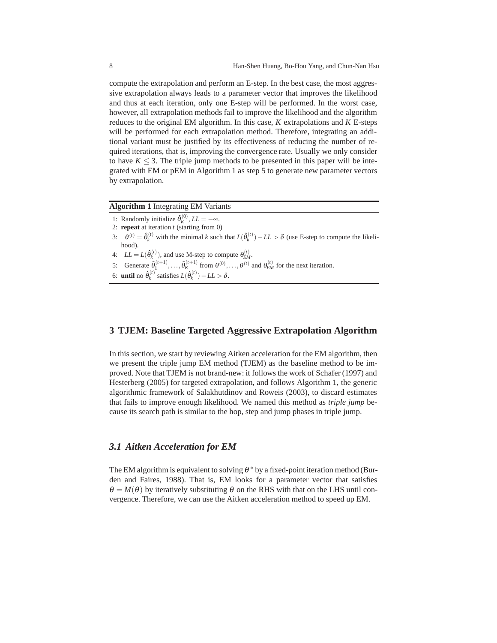compute the extrapolation and perform an E-step. In the best case, the most aggressive extrapolation always leads to a parameter vector that improves the likelihood and thus at each iteration, only one E-step will be performed. In the worst case, however, all extrapolation methods fail to improve the likelihood and the algorithm reduces to the original EM algorithm. In this case, *K* extrapolations and *K* E-steps will be performed for each extrapolation method. Therefore, integrating an additional variant must be justified by its effectiveness of reducing the number of required iterations, that is, improving the convergence rate. Usually we only consider to have  $K \leq 3$ . The triple jump methods to be presented in this paper will be integrated with EM or pEM in Algorithm 1 as step 5 to generate new parameter vectors by extrapolation.

#### **Algorithm 1** Integrating EM Variants

- 1: Randomly initialize  $\hat{\theta}_K^{(0)}$ ,  $LL = -\infty$ .
- 2: **repeat** at iteration *t* (starting from 0)
- 3:  $\theta^{(t)} = \hat{\theta}_k^{(t)}$  with the minimal *k* such that  $L(\hat{\theta}_k^{(t)}) LL > \delta$  (use E-step to compute the likelihood).
- 4:  $LL = L(\hat{\theta}_k^{(t)})$ , and use M-step to compute  $\theta_{EM}^{(t)}$ .
- 5: Generate  $\hat{\theta}_1^{(t+1)}, \ldots, \hat{\theta}_K^{(t+1)}$  from  $\theta^{(0)}, \ldots, \theta^{(t)}$  and  $\theta_{EM}^{(t)}$  for the next iteration.
- 6: **until** no  $\hat{\theta}_k^{(t)}$  satisfies  $L(\hat{\theta}_k^{(t)}) LL > \delta$ .

#### **3 TJEM: Baseline Targeted Aggressive Extrapolation Algorithm**

In this section, we start by reviewing Aitken acceleration for the EM algorithm, then we present the triple jump EM method (TJEM) as the baseline method to be improved. Note that TJEM is not brand-new: it follows the work of Schafer (1997) and Hesterberg (2005) for targeted extrapolation, and follows Algorithm 1, the generic algorithmic framework of Salakhutdinov and Roweis (2003), to discard estimates that fails to improve enough likelihood. We named this method as *triple jump* because its search path is similar to the hop, step and jump phases in triple jump.

#### *3.1 Aitken Acceleration for EM*

The EM algorithm is equivalent to solving  $\theta^*$  by a fixed-point iteration method (Burden and Faires, 1988). That is, EM looks for a parameter vector that satisfies  $\theta = M(\theta)$  by iteratively substituting  $\theta$  on the RHS with that on the LHS until convergence. Therefore, we can use the Aitken acceleration method to speed up EM.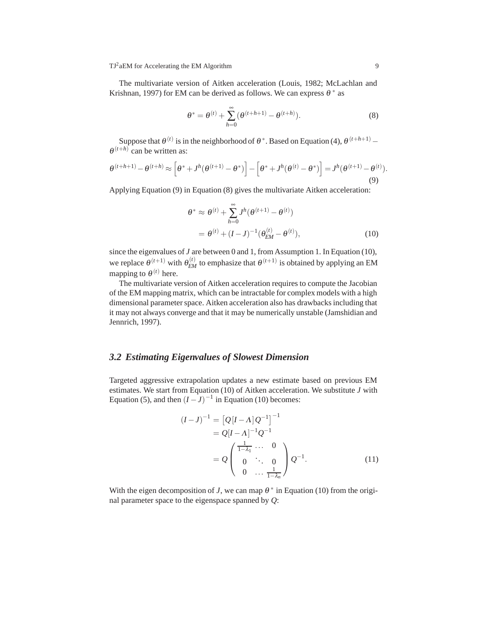The multivariate version of Aitken acceleration (Louis, 1982; McLachlan and Krishnan, 1997) for EM can be derived as follows. We can express  $\theta^*$  as

$$
\theta^* = \theta^{(t)} + \sum_{h=0}^{\infty} (\theta^{(t+h+1)} - \theta^{(t+h)}).
$$
 (8)

Suppose that  $\theta^{(t)}$  is in the neighborhood of  $\theta^*$ . Based on Equation (4),  $\theta^{(t+h+1)}$ −  $\theta^{(t+h)}$  can be written as:

$$
\theta^{(t+h+1)} - \theta^{(t+h)} \approx \left[\theta^* + J^h(\theta^{(t+1)} - \theta^*)\right] - \left[\theta^* + J^h(\theta^{(t)} - \theta^*)\right] = J^h(\theta^{(t+1)} - \theta^{(t)}).
$$
\n(9)

Applying Equation (9) in Equation (8) gives the multivariate Aitken acceleration:

$$
\theta^* \approx \theta^{(t)} + \sum_{h=0}^{\infty} J^h (\theta^{(t+1)} - \theta^{(t)})
$$
  
=  $\theta^{(t)} + (I - J)^{-1} (\theta_{EM}^{(t)} - \theta^{(t)}),$  (10)

since the eigenvalues of *J* are between 0 and 1, from Assumption 1. In Equation (10), we replace  $\theta^{(t+1)}$  with  $\theta_{EM}^{(t)}$  to emphasize that  $\theta^{(t+1)}$  is obtained by applying an EM mapping to  $\theta^{(t)}$  here.

The multivariate version of Aitken acceleration requires to compute the Jacobian of the EM mapping matrix, which can be intractable for complex models with a high dimensional parameter space. Aitken acceleration also has drawbacks including that it may not always converge and that it may be numerically unstable (Jamshidian and Jennrich, 1997).

#### *3.2 Estimating Eigenvalues of Slowest Dimension*

Targeted aggressive extrapolation updates a new estimate based on previous EM estimates. We start from Equation (10) of Aitken acceleration. We substitute *J* with Equation (5), and then  $(I - J)^{-1}$  in Equation (10) becomes:

$$
(I-J)^{-1} = [Q[I-\Lambda]Q^{-1}]^{-1}
$$
  
=  $Q[I-\Lambda]^{-1}Q^{-1}$   
=  $Q\begin{pmatrix} \frac{1}{1-\lambda_1} & \cdots & 0 \\ 0 & \ddots & 0 \\ 0 & \cdots & \frac{1}{1-\lambda_n} \end{pmatrix} Q^{-1}.$  (11)

With the eigen decomposition of *J*, we can map  $\theta^*$  in Equation (10) from the original parameter space to the eigenspace spanned by *Q*: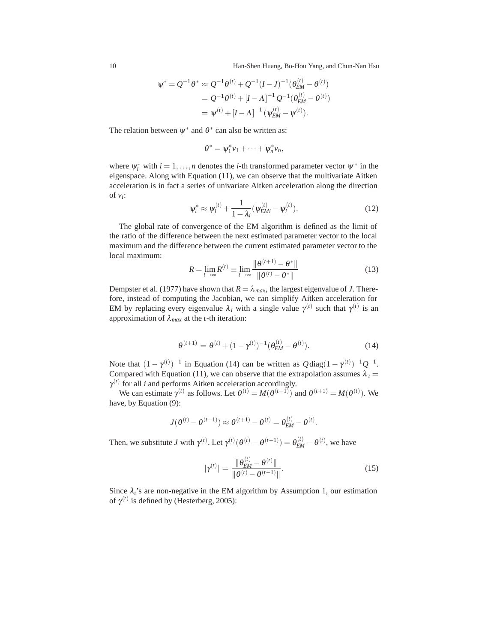10 Han-Shen Huang, Bo-Hou Yang, and Chun-Nan Hsu

$$
\psi^* = Q^{-1} \theta^* \approx Q^{-1} \theta^{(t)} + Q^{-1} (I - J)^{-1} (\theta_{EM}^{(t)} - \theta^{(t)})
$$
  
=  $Q^{-1} \theta^{(t)} + [I - \Lambda]^{-1} Q^{-1} (\theta_{EM}^{(t)} - \theta^{(t)})$   
=  $\psi^{(t)} + [I - \Lambda]^{-1} (\psi_{EM}^{(t)} - \psi^{(t)}).$ 

The relation between  $\psi^*$  and  $\theta^*$  can also be written as:

$$
\theta^* = \psi_1^* \nu_1 + \cdots + \psi_n^* \nu_n,
$$

where  $\psi_i^*$  with  $i = 1, ..., n$  denotes the *i*-th transformed parameter vector  $\psi^*$  in the eigenspace. Along with Equation (11), we can observe that the multivariate Aitken acceleration is in fact a series of univariate Aitken acceleration along the direction of  $v_i$ :

$$
\psi_i^* \approx \psi_i^{(t)} + \frac{1}{1 - \lambda_i} (\psi_{EMi}^{(t)} - \psi_i^{(t)}).
$$
 (12)

The global rate of convergence of the EM algorithm is defined as the limit of the ratio of the difference between the next estimated parameter vector to the local maximum and the difference between the current estimated parameter vector to the local maximum:

$$
R = \lim_{t \to \infty} R^{(t)} \equiv \lim_{t \to \infty} \frac{\|\theta^{(t+1)} - \theta^*\|}{\|\theta^{(t)} - \theta^*\|}
$$
(13)

Dempster et al. (1977) have shown that  $R = \lambda_{max}$ , the largest eigenvalue of *J*. Therefore, instead of computing the Jacobian, we can simplify Aitken acceleration for EM by replacing every eigenvalue  $\lambda_i$  with a single value  $\gamma^{(t)}$  such that  $\gamma^{(t)}$  is an approximation of λ*max* at the *t*-th iteration:

$$
\theta^{(t+1)} = \theta^{(t)} + (1 - \gamma^{(t)})^{-1} (\theta_{EM}^{(t)} - \theta^{(t)}).
$$
 (14)

Note that  $(1 - \gamma^{(t)})^{-1}$  in Equation (14) can be written as  $\mathcal{Q}$  diag $(1 - \gamma^{(t)})^{-1} \mathcal{Q}^{-1}$ . Compared with Equation (11), we can observe that the extrapolation assumes  $\lambda_i =$  $\gamma^{(t)}$  for all *i* and performs Aitken acceleration accordingly.

We can estimate  $\gamma^{(t)}$  as follows. Let  $\theta^{(t)} = M(\theta^{(t-1)})$  and  $\theta^{(t+1)} = M(\theta^{(t)})$ . We have, by Equation (9):

$$
J(\theta^{(t)} - \theta^{(t-1)}) \approx \theta^{(t+1)} - \theta^{(t)} = \theta_{EM}^{(t)} - \theta^{(t)}.
$$

Then, we substitute *J* with  $\gamma^{(t)}$ . Let  $\gamma^{(t)}(\theta^{(t)} - \theta^{(t-1)}) = \theta_{EM}^{(t)} - \theta^{(t)}$ , we have

$$
|\gamma^{(t)}| = \frac{\|\theta_{EM}^{(t)} - \theta^{(t)}\|}{\|\theta^{(t)} - \theta^{(t-1)}\|}.
$$
 (15)

Since  $\lambda_i$ 's are non-negative in the EM algorithm by Assumption 1, our estimation of  $\gamma^{(t)}$  is defined by (Hesterberg, 2005):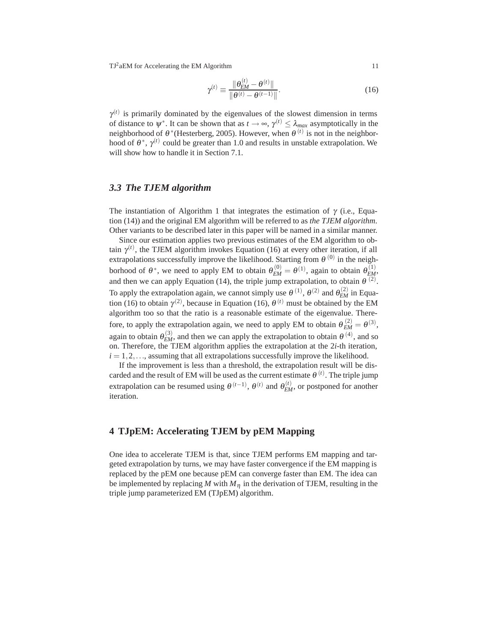$$
\gamma^{(t)} \equiv \frac{\|\theta_{EM}^{(t)} - \theta^{(t)}\|}{\|\theta^{(t)} - \theta^{(t-1)}\|}.
$$
\n(16)

 $\gamma^{(t)}$  is primarily dominated by the eigenvalues of the slowest dimension in terms of distance to  $\psi^*$ . It can be shown that as  $t \to \infty$ ,  $\gamma^{(t)} \leq \lambda_{max}$  asymptotically in the neighborhood of  $\theta^*$ (Hesterberg, 2005). However, when  $\theta^{(t)}$  is not in the neighborhood of  $\theta^*$ ,  $\gamma^{(t)}$  could be greater than 1.0 and results in unstable extrapolation. We will show how to handle it in Section 7.1.

#### *3.3 The TJEM algorithm*

The instantiation of Algorithm 1 that integrates the estimation of  $\gamma$  (i.e., Equation (14)) and the original EM algorithm will be referred to as *the TJEM algorithm*. Other variants to be described later in this paper will be named in a similar manner.

Since our estimation applies two previous estimates of the EM algorithm to obtain  $\gamma^{(t)}$ , the TJEM algorithm invokes Equation (16) at every other iteration, if all extrapolations successfully improve the likelihood. Starting from  $\theta^{(0)}$  in the neighborhood of  $\theta^*$ , we need to apply EM to obtain  $\theta_{EM}^{(0)} = \theta^{(1)}$ , again to obtain  $\theta_{EM}^{(1)}$ , and then we can apply Equation (14), the triple jump extrapolation, to obtain  $\theta^{(2)}$ . To apply the extrapolation again, we cannot simply use  $\theta^{(1)}$ ,  $\theta^{(2)}$  and  $\theta_{EM}^{(2)}$  in Equation (16) to obtain  $\gamma^{(2)}$ , because in Equation (16),  $\theta^{(t)}$  must be obtained by the EM algorithm too so that the ratio is a reasonable estimate of the eigenvalue. Therefore, to apply the extrapolation again, we need to apply EM to obtain  $\theta_{EM}^{(2)} = \theta^{(3)}$ , again to obtain  $\theta_{EM}^{(3)}$ , and then we can apply the extrapolation to obtain  $\theta^{(4)}$ , and so on. Therefore, the TJEM algorithm applies the extrapolation at the 2*i*-th iteration,  $i = 1, 2, \ldots$ , assuming that all extrapolations successfully improve the likelihood.

If the improvement is less than a threshold, the extrapolation result will be discarded and the result of EM will be used as the current estimate  $\theta^{(t)}$ . The triple jump extrapolation can be resumed using  $\theta^{(t-1)}$ ,  $\theta^{(t)}$  and  $\theta_{EM}^{(t)}$ , or postponed for another iteration.

#### **4 TJpEM: Accelerating TJEM by pEM Mapping**

One idea to accelerate TJEM is that, since TJEM performs EM mapping and targeted extrapolation by turns, we may have faster convergence if the EM mapping is replaced by the pEM one because pEM can converge faster than EM. The idea can be implemented by replacing  $M$  with  $M<sub>n</sub>$  in the derivation of TJEM, resulting in the triple jump parameterized EM (TJpEM) algorithm.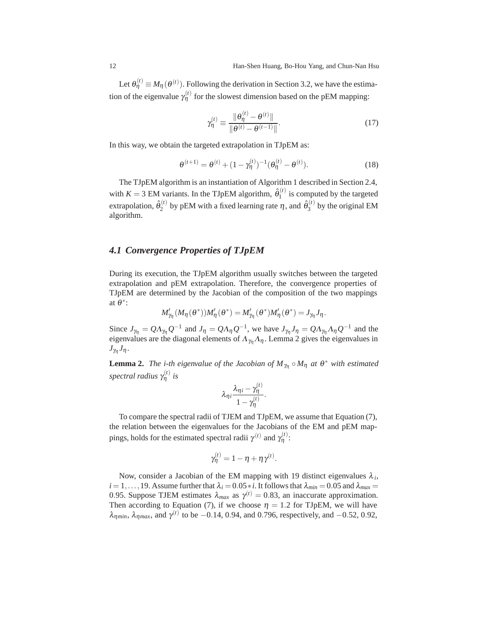Let  $\theta_{\eta}^{(t)} \equiv M_{\eta}(\theta^{(t)})$ . Following the derivation in Section 3.2, we have the estimation of the eigenvalue  $\gamma_{\eta}^{(t)}$  for the slowest dimension based on the pEM mapping:

$$
\gamma_{\eta}^{(t)} \equiv \frac{\|\theta_{\eta}^{(t)} - \theta^{(t)}\|}{\|\theta^{(t)} - \theta^{(t-1)}\|}.
$$
\n(17)

In this way, we obtain the targeted extrapolation in TJpEM as:

$$
\theta^{(t+1)} = \theta^{(t)} + (1 - \gamma_{\eta}^{(t)})^{-1} (\theta_{\eta}^{(t)} - \theta^{(t)}).
$$
 (18)

The TJpEM algorithm is an instantiation of Algorithm 1 described in Section 2.4, with  $K = 3$  EM variants. In the TJpEM algorithm,  $\hat{\theta}_1^{(t)}$  is computed by the targeted extrapolation,  $\hat{\theta}_2^{(t)}$  by pEM with a fixed learning rate  $\eta$ , and  $\hat{\theta}_3^{(t)}$  by the original EM algorithm.

### *4.1 Convergence Properties of TJpEM*

During its execution, the TJpEM algorithm usually switches between the targeted extrapolation and pEM extrapolation. Therefore, the convergence properties of TJpEM are determined by the Jacobian of the composition of the two mappings at <sup>θ</sup>∗:

$$
M'_{\gamma_{\eta}}(M_{\eta}(\theta^*))M'_{\eta}(\theta^*) = M'_{\gamma_{\eta}}(\theta^*)M'_{\eta}(\theta^*) = J_{\gamma_{\eta}}J_{\eta}.
$$

Since  $J_{\gamma\eta} = Q\Lambda_{\gamma\eta}Q^{-1}$  and  $J_{\eta} = Q\Lambda_{\eta}Q^{-1}$ , we have  $J_{\gamma\eta}J_{\eta} = Q\Lambda_{\gamma\eta}\Lambda_{\eta}Q^{-1}$  and the eigenvalues are the diagonal elements of  $\Lambda_{\gamma_{\eta}}\Lambda_{\eta}$ . Lemma 2 gives the eigenvalues in  $J_{\gamma_n}J_{\eta}$ .

**Lemma 2.** *The i-th eigenvalue of the Jacobian of*  $M_{\gamma_0} \circ M_{\eta}$  *at*  $\theta^*$  *with estimated spectral radius* γ (*t*) <sup>η</sup> *is*

$$
\lambda_{\eta i}\frac{\lambda_{\eta i}-\gamma^{(t)}_{\eta}}{1-\gamma^{(t)}_{\eta}}.
$$

To compare the spectral radii of TJEM and TJpEM, we assume that Equation (7), the relation between the eigenvalues for the Jacobians of the EM and pEM mappings, holds for the estimated spectral radii  $\gamma^{(t)}$  and  $\gamma^{(t)}$ .

$$
\gamma_{\eta}^{(t)} = 1 - \eta + \eta \gamma^{(t)}.
$$

Now, consider a Jacobian of the EM mapping with 19 distinct eigenvalues  $\lambda_i$ ,  $i = 1, \ldots, 19$ . Assume further that  $\lambda_i = 0.05 * i$ . It follows that  $\lambda_{min} = 0.05$  and  $\lambda_{max} =$ 0.95. Suppose TJEM estimates  $\lambda_{max}$  as  $\gamma^{(t)} = 0.83$ , an inaccurate approximation. Then according to Equation (7), if we choose  $\eta = 1.2$  for TJpEM, we will have  $λ_{ηmin}$ ,  $λ_{ηmax}$ , and  $γ<sup>(t)</sup>$  to be −0.14, 0*.*94, and 0*.796*, respectively, and −0*.52*, 0*.92*,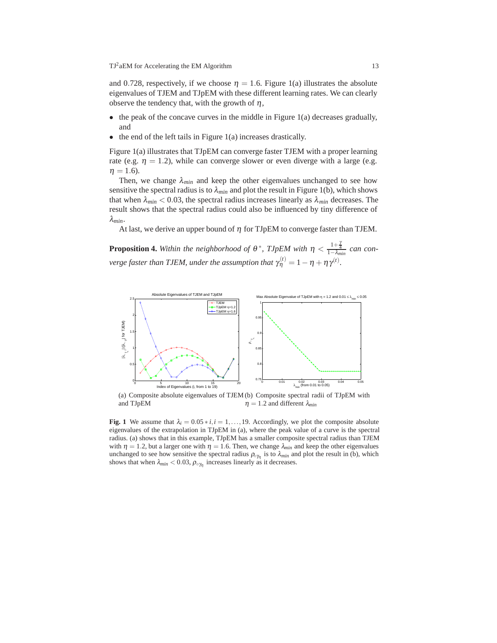and 0.728, respectively, if we choose  $\eta = 1.6$ . Figure 1(a) illustrates the absolute eigenvalues of TJEM and TJpEM with these different learning rates. We can clearly observe the tendency that, with the growth of  $\eta$ ,

- $\bullet$  the peak of the concave curves in the middle in Figure 1(a) decreases gradually, and
- the end of the left tails in Figure 1(a) increases drastically.

Figure 1(a) illustrates that TJpEM can converge faster TJEM with a proper learning rate (e.g.  $\eta = 1.2$ ), while can converge slower or even diverge with a large (e.g.  $\eta = 1.6$ ).

Then, we change  $\lambda_{min}$  and keep the other eigenvalues unchanged to see how sensitive the spectral radius is to  $\lambda_{min}$  and plot the result in Figure 1(b), which shows that when  $\lambda_{min}$  < 0.03, the spectral radius increases linearly as  $\lambda_{min}$  decreases. The result shows that the spectral radius could also be influenced by tiny difference of λ*min*.

At last, we derive an upper bound of  $\eta$  for TJpEM to converge faster than TJEM.

**Proposition 4.** Within the neighborhood of  $\theta^*$ , TJpEM with  $\eta < \frac{1+\frac{\gamma}{4}}{1-\lambda_{min}}$  can con*verge faster than TJEM, under the assumption that*  $\gamma_{\eta}^{(t)} = 1 - \eta + \eta \gamma^{(t)}$ *.* 



(a) Composite absolute eigenvalues of TJEM (b) Composite spectral radii of TJpEM with and TJpEM  $\eta = 1.2$  and different  $\lambda_{min}$ 

**Fig. 1** We assume that  $\lambda_i = 0.05 * i, i = 1, \ldots, 19$ . Accordingly, we plot the composite absolute eigenvalues of the extrapolation in TJpEM in (a), where the peak value of a curve is the spectral radius. (a) shows that in this example, TJpEM has a smaller composite spectral radius than TJEM with  $\eta = 1.2$ , but a larger one with  $\eta = 1.6$ . Then, we change  $\lambda_{min}$  and keep the other eigenvalues unchanged to see how sensitive the spectral radius  $\rho_{\circ\gamma\gamma}$  is to  $\lambda_{min}$  and plot the result in (b), which shows that when  $\lambda_{min}$  < 0.03,  $\rho_{\circ\gamma_n}$  increases linearly as it decreases.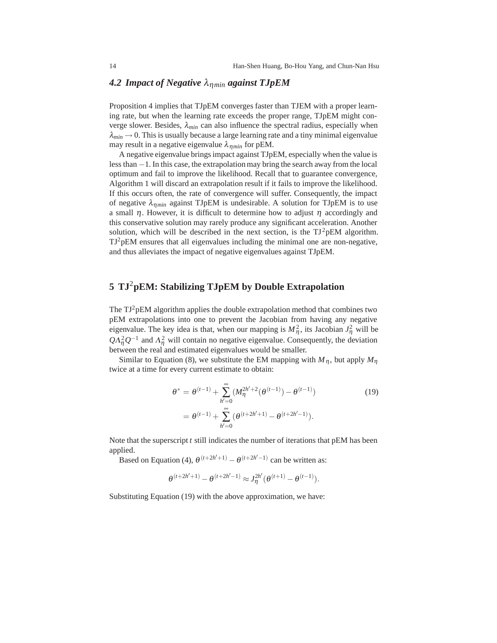# *4.2 Impact of Negative* λη*min against TJpEM*

Proposition 4 implies that TJpEM converges faster than TJEM with a proper learning rate, but when the learning rate exceeds the proper range, TJpEM might converge slower. Besides,  $\lambda_{min}$  can also influence the spectral radius, especially when  $\lambda_{min} \rightarrow 0$ . This is usually because a large learning rate and a tiny minimal eigenvalue may result in a negative eigenvalue  $\lambda_{nmin}$  for pEM.

A negative eigenvalue brings impact against TJpEM, especially when the value is less than −1. In this case, the extrapolation may bring the search away from the local optimum and fail to improve the likelihood. Recall that to guarantee convergence, Algorithm 1 will discard an extrapolation result if it fails to improve the likelihood. If this occurs often, the rate of convergence will suffer. Consequently, the impact of negative  $\lambda_{nmin}$  against TJpEM is undesirable. A solution for TJpEM is to use a small  $\eta$ . However, it is difficult to determine how to adjust  $\eta$  accordingly and this conservative solution may rarely produce any significant acceleration. Another solution, which will be described in the next section, is the  $TJ^2pEM$  algorithm.  $TJ^2pEM$  ensures that all eigenvalues including the minimal one are non-negative, and thus alleviates the impact of negative eigenvalues against TJpEM.

# **5 TJ**2**pEM: Stabilizing TJpEM by Double Extrapolation**

The  $TJ^2pEM$  algorithm applies the double extrapolation method that combines two pEM extrapolations into one to prevent the Jacobian from having any negative eigenvalue. The key idea is that, when our mapping is  $M_{\eta}^2$ , its Jacobian  $J_{\eta}^2$  will be  $Q\Lambda_{\eta}^2 Q^{-1}$  and  $\Lambda_{\eta}^2$  will contain no negative eigenvalue. Consequently, the deviation between the real and estimated eigenvalues would be smaller.

Similar to Equation (8), we substitute the EM mapping with  $M_n$ , but apply  $M_n$ twice at a time for every current estimate to obtain:

$$
\theta^* = \theta^{(t-1)} + \sum_{h'=0}^{\infty} (M_{\eta}^{2h'+2}(\theta^{(t-1)}) - \theta^{(t-1)})
$$
(19)  
=  $\theta^{(t-1)} + \sum_{h'=0}^{\infty} (\theta^{(t+2h'+1)} - \theta^{(t+2h'-1)}).$ 

Note that the superscript *t* still indicates the number of iterations that pEM has been applied.

Based on Equation (4),  $\theta^{(t+2h'+1)} - \theta^{(t+2h'-1)}$  can be written as:

$$
\theta^{(t+2h'+1)} - \theta^{(t+2h'-1)} \approx J_{\eta}^{2h'}(\theta^{(t+1)} - \theta^{(t-1)}).
$$

Substituting Equation (19) with the above approximation, we have: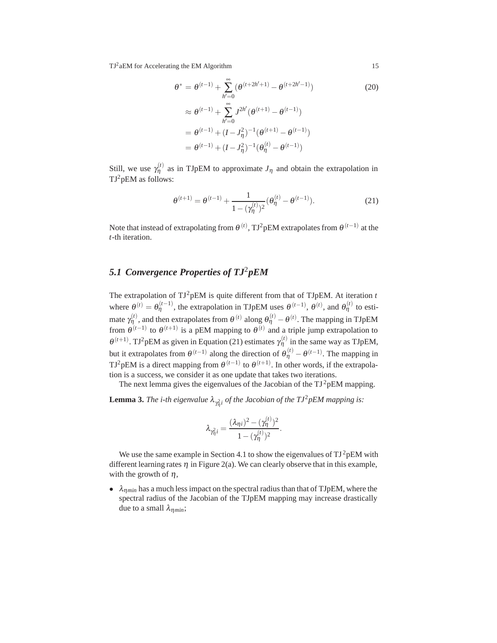$$
\theta^* = \theta^{(t-1)} + \sum_{h'=0}^{\infty} (\theta^{(t+2h'+1)} - \theta^{(t+2h'-1)})
$$
(20)  

$$
\approx \theta^{(t-1)} + \sum_{h'=0}^{\infty} J^{2h'} (\theta^{(t+1)} - \theta^{(t-1)})
$$
  

$$
= \theta^{(t-1)} + (I - J_{\eta}^2)^{-1} (\theta^{(t+1)} - \theta^{(t-1)})
$$
  

$$
= \theta^{(t-1)} + (I - J_{\eta}^2)^{-1} (\theta_{\eta}^{(t)} - \theta^{(t-1)})
$$

Still, we use  $\gamma_{\eta}^{(t)}$  as in TJpEM to approximate  $J_{\eta}$  and obtain the extrapolation in TJ<sup>2</sup>pEM as follows:

$$
\theta^{(t+1)} = \theta^{(t-1)} + \frac{1}{1 - (\gamma_{\eta}^{(t)})^2} (\theta_{\eta}^{(t)} - \theta^{(t-1)}).
$$
 (21)

Note that instead of extrapolating from  $\theta^{(t)}$ , TJ<sup>2</sup>pEM extrapolates from  $\theta^{(t-1)}$  at the *t*-th iteration.

# *5.1 Convergence Properties of TJ*2*pEM*

The extrapolation of  $TJ^2pEM$  is quite different from that of TJpEM. At iteration  $t$ where  $\theta^{(t)} = \theta_{\eta}^{(t-1)}$ , the extrapolation in TJpEM uses  $\theta^{(t-1)}$ ,  $\theta^{(t)}$ , and  $\theta_{\eta}^{(t)}$  to estimate  $\gamma^{(t)}_{\eta}$ , and then extrapolates from  $\theta^{(t)}$  along  $\theta^{(t)}_{\eta} - \theta^{(t)}$ . The mapping in TJpEM from  $\theta^{(t-1)}$  to  $\theta^{(t+1)}$  is a pEM mapping to  $\theta^{(t)}$  and a triple jump extrapolation to  $\theta^{(t+1)}$ . TJ<sup>2</sup>pEM as given in Equation (21) estimates  $\gamma^{(t)}_{\eta}$  in the same way as TJpEM, but it extrapolates from  $\theta^{(t-1)}$  along the direction of  $\theta_{\eta}^{(t)} - \theta^{(t-1)}$ . The mapping in TJ<sup>2</sup>pEM is a direct mapping from  $\theta^{(t-1)}$  to  $\theta^{(t+1)}$ . In other words, if the extrapolation is a success, we consider it as one update that takes two iterations.

The next lemma gives the eigenvalues of the Jacobian of the  $TJ^2pEM$  mapping.

**Lemma 3.** *The i-th eigenvalue*  $\lambda_{\gamma_{\eta}^2 i}$  *of the Jacobian of the TJ*<sup>2</sup>*pEM mapping is:* 

$$
\lambda_{\gamma_{\eta}^2 i} = \frac{(\lambda_{\eta i})^2 - (\gamma_{\eta}^{(t)})^2}{1 - (\gamma_{\eta}^{(t)})^2}.
$$

We use the same example in Section 4.1 to show the eigenvalues of  $TJ^2pEM$  with different learning rates  $\eta$  in Figure 2(a). We can clearly observe that in this example, with the growth of  $\eta$ ,

• λη*min* has a much less impact on the spectral radius than that of TJpEM, where the spectral radius of the Jacobian of the TJpEM mapping may increase drastically due to a small λη*min*;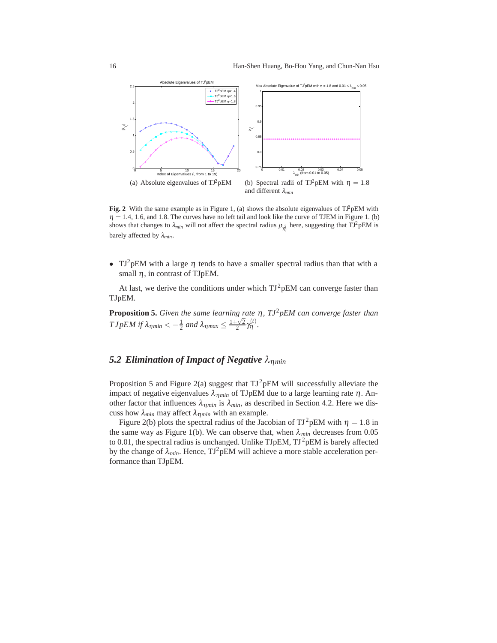

**Fig. 2** With the same example as in Figure 1, (a) shows the absolute eigenvalues of  $T\hat{P}pEM$  with  $\eta = 1.4$ , 1.6, and 1.8. The curves have no left tail and look like the curve of TJEM in Figure 1. (b) shows that changes to  $\lambda_{min}$  will not affect the spectral radius  $\rho_{\gamma_1^2}$  here, suggesting that TJ<sup>2</sup>pEM is barely affected by λ*min*.

• TJ<sup>2</sup>pEM with a large  $\eta$  tends to have a smaller spectral radius than that with a small  $\eta$ , in contrast of TJpEM.

At last, we derive the conditions under which  $TJ^2pEM$  can converge faster than TJpEM.

**Proposition 5.** *Given the same learning rate*  $\eta$ ,  $T J^2 p E M$  *can converge faster than*  $T J p E M$  if  $\lambda_{\eta min} < -\frac{1}{2}$  and  $\lambda_{\eta max} \leq \frac{1 + \sqrt{2}}{2} \gamma_{\eta}^{(t)}$ .

#### *5.2 Elimination of Impact of Negative* λη*min*

Proposition 5 and Figure 2(a) suggest that  $TJ^2pEM$  will successfully alleviate the impact of negative eigenvalues  $\lambda_{nmin}$  of TJpEM due to a large learning rate  $\eta$ . Another factor that influences  $\lambda_{\text{nmin}}$  is  $\lambda_{\text{min}}$ , as described in Section 4.2. Here we discuss how λ*min* may affect λη*min* with an example.

Figure 2(b) plots the spectral radius of the Jacobian of TJ<sup>2</sup>pEM with  $\eta = 1.8$  in the same way as Figure 1(b). We can observe that, when  $\lambda_{min}$  decreases from 0.05 to 0.01, the spectral radius is unchanged. Unlike TJpEM,  $TI^2$ pEM is barely affected by the change of  $\lambda_{min}$ . Hence, TJ<sup>2</sup>pEM will achieve a more stable acceleration performance than TJpEM.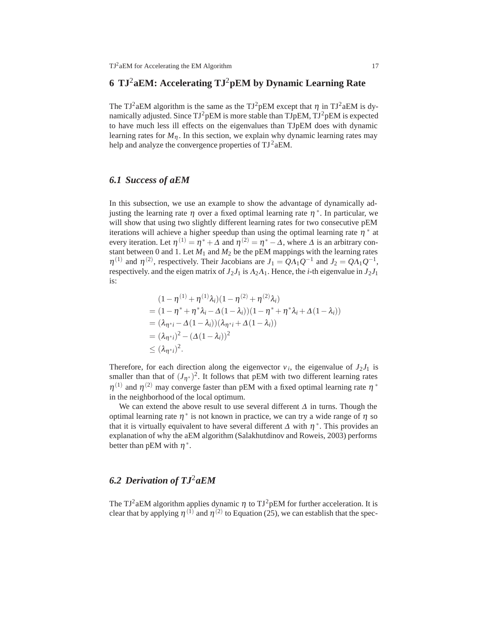# **6 TJ**2**aEM: Accelerating TJ**2**pEM by Dynamic Learning Rate**

The TJ<sup>2</sup>aEM algorithm is the same as the TJ<sup>2</sup>pEM except that  $\eta$  in TJ<sup>2</sup>aEM is dynamically adjusted. Since  $TJ^2pEM$  is more stable than  $TJpEM$ ,  $TJ^2pEM$  is expected to have much less ill effects on the eigenvalues than TJpEM does with dynamic learning rates for  $M_{\eta}$ . In this section, we explain why dynamic learning rates may help and analyze the convergence properties of  $TJ^2aEM$ .

#### *6.1 Success of aEM*

In this subsection, we use an example to show the advantage of dynamically adjusting the learning rate <sup>η</sup> over a fixed optimal learning rate <sup>η</sup>∗. In particular, we will show that using two slightly different learning rates for two consecutive pEM iterations will achieve a higher speedup than using the optimal learning rate  $\eta^*$  at every iteration. Let  $\eta^{(1)} = \eta^* + \Delta$  and  $\eta^{(2)} = \eta^* - \Delta$ , where  $\Delta$  is an arbitrary constant between 0 and 1. Let  $M_1$  and  $M_2$  be the pEM mappings with the learning rates  $\eta^{(1)}$  and  $\eta^{(2)}$ , respectively. Their Jacobians are  $J_1 = QA_1Q^{-1}$  and  $J_2 = QA_1Q^{-1}$ , respectively. and the eigen matrix of  $J_2J_1$  is  $\Lambda_2\Lambda_1$ . Hence, the *i*-th eigenvalue in  $J_2J_1$ is:

$$
(1 - \eta^{(1)} + \eta^{(1)}\lambda_i)(1 - \eta^{(2)} + \eta^{(2)}\lambda_i)
$$
  
= 
$$
(1 - \eta^* + \eta^*\lambda_i - \Delta(1 - \lambda_i))(1 - \eta^* + \eta^*\lambda_i + \Delta(1 - \lambda_i))
$$
  
= 
$$
(\lambda_{\eta^*i} - \Delta(1 - \lambda_i))(\lambda_{\eta^*i} + \Delta(1 - \lambda_i))
$$
  
= 
$$
(\lambda_{\eta^*i})^2 - (\Delta(1 - \lambda_i))^2
$$
  
\$\leq (\lambda\_{\eta^\*i})^2\$.

Therefore, for each direction along the eigenvector  $v_i$ , the eigenvalue of  $J_2J_1$  is smaller than that of  $(J_{\eta^*})^2$ . It follows that pEM with two different learning rates  $\eta^{(1)}$  and  $\eta^{(2)}$  may converge faster than pEM with a fixed optimal learning rate  $\eta^*$ in the neighborhood of the local optimum.

We can extend the above result to use several different  $\Delta$  in turns. Though the optimal learning rate  $\eta^*$  is not known in practice, we can try a wide range of  $\eta$  so that it is virtually equivalent to have several different  $\Delta$  with  $\eta^*$ . This provides an explanation of why the aEM algorithm (Salakhutdinov and Roweis, 2003) performs better than pEM with  $\eta^*$ .

### *6.2 Derivation of TJ*2*aEM*

The TJ<sup>2</sup>aEM algorithm applies dynamic  $\eta$  to TJ<sup>2</sup>pEM for further acceleration. It is clear that by applying  $\eta^{(1)}$  and  $\eta^{(2)}$  to Equation (25), we can establish that the spec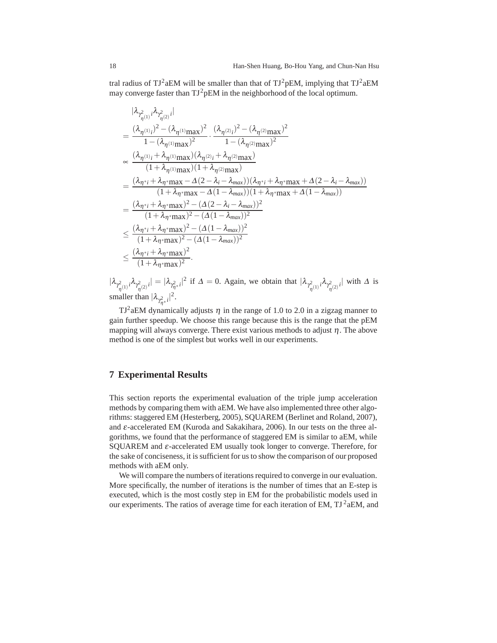tral radius of  $TJ^2aEM$  will be smaller than that of  $TJ^2pEM$ , implying that  $TJ^2aEM$ may converge faster than  $TJ^2pEM$  in the neighborhood of the local optimum.

$$
|\lambda_{\gamma_{\eta(1)}^2} i \lambda_{\gamma_{\eta(2)}^2} i|
$$
\n
$$
= \frac{(\lambda_{\eta^{(1)}} i^2 - (\lambda_{\eta^{(1)}} \text{max})^2}{1 - (\lambda_{\eta^{(1)}} \text{max})^2} \cdot \frac{(\lambda_{\eta^{(2)}} i^2 - (\lambda_{\eta^{(2)}} \text{max})^2}{1 - (\lambda_{\eta^{(2)}} \text{max})^2}
$$
\n
$$
\propto \frac{(\lambda_{\eta^{(1)}} i + \lambda_{\eta^{(1)}} \text{max})(\lambda_{\eta^{(2)}} i + \lambda_{\eta^{(2)}} \text{max})}{(1 + \lambda_{\eta^{(1)}} \text{max})(1 + \lambda_{\eta^{(2)}} \text{max})}
$$
\n
$$
= \frac{(\lambda_{\eta^* i} + \lambda_{\eta^*} \text{max} - \Delta(2 - \lambda_i - \lambda_{\text{max}}))(\lambda_{\eta^* i} + \lambda_{\eta^*} \text{max} + \Delta(2 - \lambda_i - \lambda_{\text{max}}))}{(1 + \lambda_{\eta^*} \text{max} - \Delta(1 - \lambda_{\text{max}}))(1 + \lambda_{\eta^*} \text{max} + \Delta(1 - \lambda_{\text{max}}))}
$$
\n
$$
= \frac{(\lambda_{\eta^* i} + \lambda_{\eta^*} \text{max})^2 - (\Delta(2 - \lambda_i - \lambda_{\text{max}}))^2}{(1 + \lambda_{\eta^*} \text{max})^2 - (\Delta(1 - \lambda_{\text{max}}))^2}
$$
\n
$$
\leq \frac{(\lambda_{\eta^* i} + \lambda_{\eta^*} \text{max})^2 - (\Delta(1 - \lambda_{\text{max}}))^2}{(1 + \lambda_{\eta^*} \text{max})^2 - (\Delta(1 - \lambda_{\text{max}}))^2}
$$
\n
$$
\leq \frac{(\lambda_{\eta^* i} + \lambda_{\eta^*} \text{max})^2}{(1 + \lambda_{\eta^*} \text{max})^2}.
$$

 $|\lambda_{\gamma^2_{\eta^{(1)}}i}\lambda_{\gamma^2_{\eta^{(2)}}i}| = |\lambda_{\gamma^2_{\eta^{*}}i}|^2$  if  $\Delta = 0$ . Again, we obtain that  $|\lambda_{\gamma^2_{\eta^{(1)}}i}\lambda_{\gamma^2_{\eta^{(2)}}i}|$  with  $\Delta$  is smaller than  $|\lambda_{\gamma_{\eta^*}^2 i}|^2$ .

 $TJ^2aEM$  dynamically adjusts  $\eta$  in the range of 1.0 to 2.0 in a zigzag manner to gain further speedup. We choose this range because this is the range that the pEM mapping will always converge. There exist various methods to adjust  $\eta$ . The above method is one of the simplest but works well in our experiments.

#### **7 Experimental Results**

This section reports the experimental evaluation of the triple jump acceleration methods by comparing them with aEM. We have also implemented three other algorithms: staggered EM (Hesterberg, 2005), SQUAREM (Berlinet and Roland, 2007), and  $\varepsilon$ -accelerated EM (Kuroda and Sakakihara, 2006). In our tests on the three algorithms, we found that the performance of staggered EM is similar to aEM, while SQUAREM and <sup>ε</sup>-accelerated EM usually took longer to converge. Therefore, for the sake of conciseness, it is sufficient for us to show the comparison of our proposed methods with aEM only.

We will compare the numbers of iterations required to converge in our evaluation. More specifically, the number of iterations is the number of times that an E-step is executed, which is the most costly step in EM for the probabilistic models used in our experiments. The ratios of average time for each iteration of EM,  $TJ^2aEM$ , and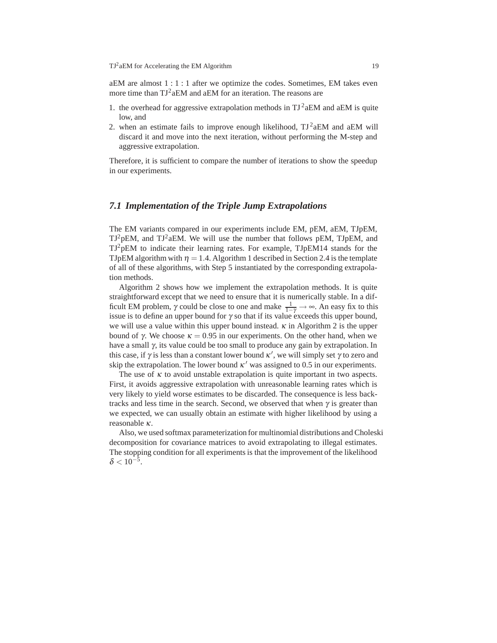aEM are almost 1:1:1 after we optimize the codes. Sometimes, EM takes even more time than TJ<sup>2</sup>aEM and aEM for an iteration. The reasons are

- 1. the overhead for aggressive extrapolation methods in  $TJ^2aEM$  and aEM is quite low, and
- 2. when an estimate fails to improve enough likelihood,  $TJ^2aEM$  and aEM will discard it and move into the next iteration, without performing the M-step and aggressive extrapolation.

Therefore, it is sufficient to compare the number of iterations to show the speedup in our experiments.

#### *7.1 Implementation of the Triple Jump Extrapolations*

The EM variants compared in our experiments include EM, pEM, aEM, TJpEM,  $TJ^2pEM$ , and  $TJ^2aEM$ . We will use the number that follows pEM, TJpEM, and TJ2pEM to indicate their learning rates. For example, TJpEM14 stands for the TJpEM algorithm with  $\eta = 1.4$ . Algorithm 1 described in Section 2.4 is the template of all of these algorithms, with Step 5 instantiated by the corresponding extrapolation methods.

Algorithm 2 shows how we implement the extrapolation methods. It is quite straightforward except that we need to ensure that it is numerically stable. In a difficult EM problem,  $\gamma$  could be close to one and make  $\frac{1}{1-\gamma} \to \infty$ . An easy fix to this issue is to define an upper bound for  $\gamma$  so that if its value exceeds this upper bound, we will use a value within this upper bound instead.  $\kappa$  in Algorithm 2 is the upper bound of γ. We choose  $κ = 0.95$  in our experiments. On the other hand, when we have a small  $\gamma$ , its value could be too small to produce any gain by extrapolation. In this case, if  $\gamma$  is less than a constant lower bound  $\kappa'$ , we will simply set  $\gamma$  to zero and skip the extrapolation. The lower bound  $\kappa'$  was assigned to 0.5 in our experiments.

The use of  $\kappa$  to avoid unstable extrapolation is quite important in two aspects. First, it avoids aggressive extrapolation with unreasonable learning rates which is very likely to yield worse estimates to be discarded. The consequence is less backtracks and less time in the search. Second, we observed that when  $\gamma$  is greater than we expected, we can usually obtain an estimate with higher likelihood by using a reasonable <sup>κ</sup>.

Also, we used softmax parameterization for multinomial distributions and Choleski decomposition for covariance matrices to avoid extrapolating to illegal estimates. The stopping condition for all experiments is that the improvement of the likelihood  $\delta$  < 10<sup>-5</sup>.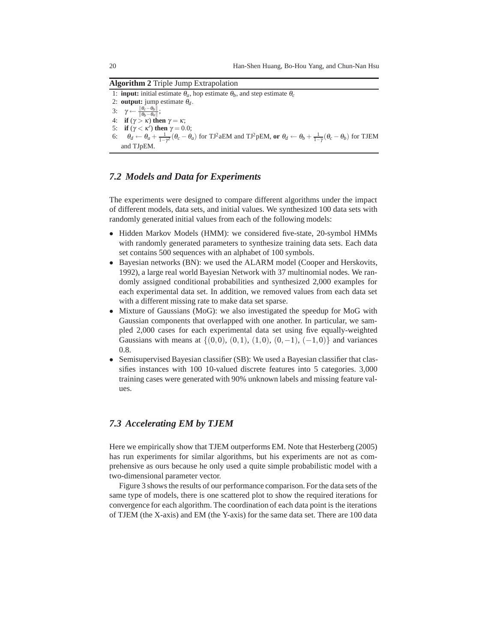**Algorithm 2** Triple Jump Extrapolation

1: **input:** initial estimate  $\theta_a$ , hop estimate  $\theta_b$ , and step estimate  $\theta_c$ 2: **output:** jump estimate  $\theta_d$ . 3:  $\gamma \leftarrow \frac{\|\theta_c-\theta_b\|}{\|\theta_b-\theta_a\|};$ 

- 4: **if**  $(γ > κ)$  **then**  $γ = κ;$
- 5: **if** ( $\gamma < \kappa'$ ) **then**  $\gamma = 0.0$ ;
- 6:  $\theta_d \leftarrow \theta_a + \frac{1}{1-\gamma^2}(\theta_c \theta_a)$  for TJ<sup>2</sup> aEM and TJ<sup>2</sup> pEM, or  $\theta_d \leftarrow \theta_b + \frac{1}{1-\gamma}(\theta_c \theta_b)$  for TJEM and TJpEM.

#### *7.2 Models and Data for Experiments*

The experiments were designed to compare different algorithms under the impact of different models, data sets, and initial values. We synthesized 100 data sets with randomly generated initial values from each of the following models:

- Hidden Markov Models (HMM): we considered five-state, 20-symbol HMMs with randomly generated parameters to synthesize training data sets. Each data set contains 500 sequences with an alphabet of 100 symbols.
- Bayesian networks (BN): we used the ALARM model (Cooper and Herskovits, 1992), a large real world Bayesian Network with 37 multinomial nodes. We randomly assigned conditional probabilities and synthesized 2,000 examples for each experimental data set. In addition, we removed values from each data set with a different missing rate to make data set sparse.
- Mixture of Gaussians (MoG): we also investigated the speedup for MoG with Gaussian components that overlapped with one another. In particular, we sampled 2,000 cases for each experimental data set using five equally-weighted Gaussians with means at  $\{(0,0), (0,1), (1,0), (0,-1), (-1,0)\}$  and variances 0.8.
- Semisupervised Bayesian classifier (SB): We used a Bayesian classifier that classifies instances with 100 10-valued discrete features into 5 categories. 3,000 training cases were generated with 90% unknown labels and missing feature values.

### *7.3 Accelerating EM by TJEM*

Here we empirically show that TJEM outperforms EM. Note that Hesterberg (2005) has run experiments for similar algorithms, but his experiments are not as comprehensive as ours because he only used a quite simple probabilistic model with a two-dimensional parameter vector.

Figure 3 shows the results of our performance comparison. For the data sets of the same type of models, there is one scattered plot to show the required iterations for convergence for each algorithm. The coordination of each data point is the iterations of TJEM (the X-axis) and EM (the Y-axis) for the same data set. There are 100 data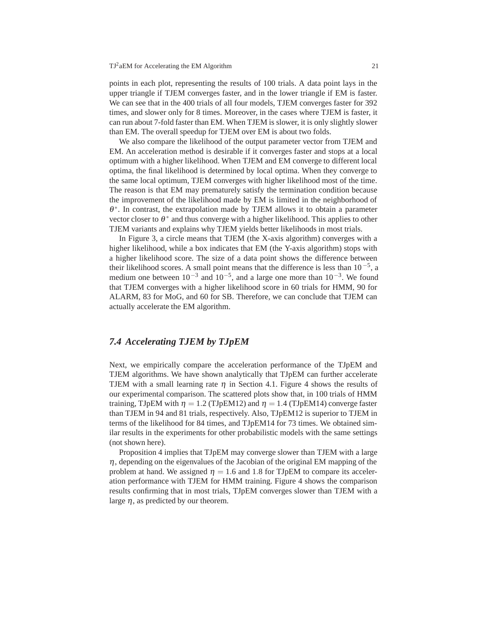points in each plot, representing the results of 100 trials. A data point lays in the upper triangle if TJEM converges faster, and in the lower triangle if EM is faster. We can see that in the 400 trials of all four models, TJEM converges faster for 392 times, and slower only for 8 times. Moreover, in the cases where TJEM is faster, it can run about 7-fold faster than EM. When TJEM is slower, it is only slightly slower than EM. The overall speedup for TJEM over EM is about two folds.

We also compare the likelihood of the output parameter vector from TJEM and EM. An acceleration method is desirable if it converges faster and stops at a local optimum with a higher likelihood. When TJEM and EM converge to different local optima, the final likelihood is determined by local optima. When they converge to the same local optimum, TJEM converges with higher likelihood most of the time. The reason is that EM may prematurely satisfy the termination condition because the improvement of the likelihood made by EM is limited in the neighborhood of  $\theta^*$ . In contrast, the extrapolation made by TJEM allows it to obtain a parameter vector closer to  $\theta^*$  and thus converge with a higher likelihood. This applies to other TJEM variants and explains why TJEM yields better likelihoods in most trials.

In Figure 3, a circle means that TJEM (the X-axis algorithm) converges with a higher likelihood, while a box indicates that EM (the Y-axis algorithm) stops with a higher likelihood score. The size of a data point shows the difference between their likelihood scores. A small point means that the difference is less than  $10^{-5}$ , a medium one between  $10^{-3}$  and  $10^{-5}$ , and a large one more than  $10^{-3}$ . We found that TJEM converges with a higher likelihood score in 60 trials for HMM, 90 for ALARM, 83 for MoG, and 60 for SB. Therefore, we can conclude that TJEM can actually accelerate the EM algorithm.

#### *7.4 Accelerating TJEM by TJpEM*

Next, we empirically compare the acceleration performance of the TJpEM and TJEM algorithms. We have shown analytically that TJpEM can further accelerate TJEM with a small learning rate  $\eta$  in Section 4.1. Figure 4 shows the results of our experimental comparison. The scattered plots show that, in 100 trials of HMM training, TJpEM with  $\eta = 1.2$  (TJpEM12) and  $\eta = 1.4$  (TJpEM14) converge faster than TJEM in 94 and 81 trials, respectively. Also, TJpEM12 is superior to TJEM in terms of the likelihood for 84 times, and TJpEM14 for 73 times. We obtained similar results in the experiments for other probabilistic models with the same settings (not shown here).

Proposition 4 implies that TJpEM may converge slower than TJEM with a large  $\eta$ , depending on the eigenvalues of the Jacobian of the original EM mapping of the problem at hand. We assigned  $\eta = 1.6$  and 1.8 for TJpEM to compare its acceleration performance with TJEM for HMM training. Figure 4 shows the comparison results confirming that in most trials, TJpEM converges slower than TJEM with a large  $\eta$ , as predicted by our theorem.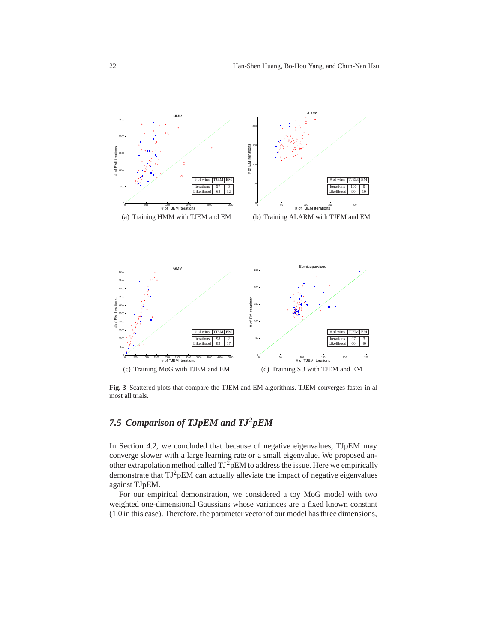

**Fig. 3** Scattered plots that compare the TJEM and EM algorithms. TJEM converges faster in almost all trials.

# *7.5 Comparison of TJpEM and TJ*2*pEM*

In Section 4.2, we concluded that because of negative eigenvalues, TJpEM may converge slower with a large learning rate or a small eigenvalue. We proposed another extrapolation method called  $TJ^2pEM$  to address the issue. Here we empirically demonstrate that  $TJ^2pEM$  can actually alleviate the impact of negative eigenvalues against TJpEM.

For our empirical demonstration, we considered a toy MoG model with two weighted one-dimensional Gaussians whose variances are a fixed known constant (1.0 in this case). Therefore, the parameter vector of our model has three dimensions,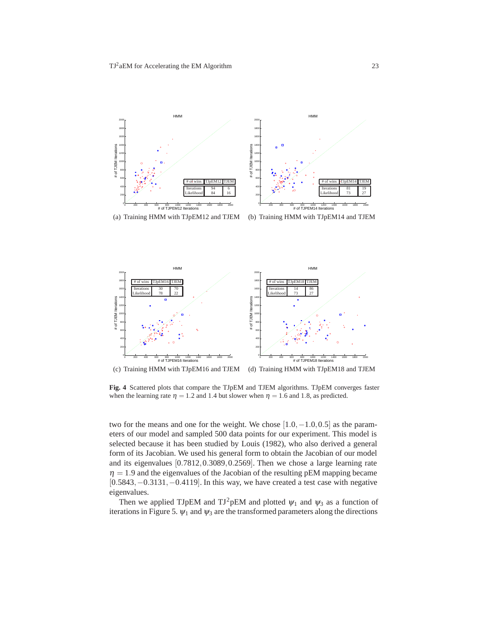



**Fig. 4** Scattered plots that compare the TJpEM and TJEM algorithms. TJpEM converges faster when the learning rate  $\eta = 1.2$  and 1.4 but slower when  $\eta = 1.6$  and 1.8, as predicted.

two for the means and one for the weight. We chose  $[1.0, -1.0, 0.5]$  as the parameters of our model and sampled 500 data points for our experiment. This model is selected because it has been studied by Louis (1982), who also derived a general form of its Jacobian. We used his general form to obtain the Jacobian of our model and its eigenvalues [0*.*7812*,*0*.*3089*,*0*.*2569]. Then we chose a large learning rate  $\eta = 1.9$  and the eigenvalues of the Jacobian of the resulting pEM mapping became [0*.*5843*,*−0*.*3131*,*−0*.*4119]. In this way, we have created a test case with negative eigenvalues.

Then we applied TJpEM and TJ<sup>2</sup>pEM and plotted  $\psi_1$  and  $\psi_3$  as a function of iterations in Figure 5.  $\psi_1$  and  $\psi_3$  are the transformed parameters along the directions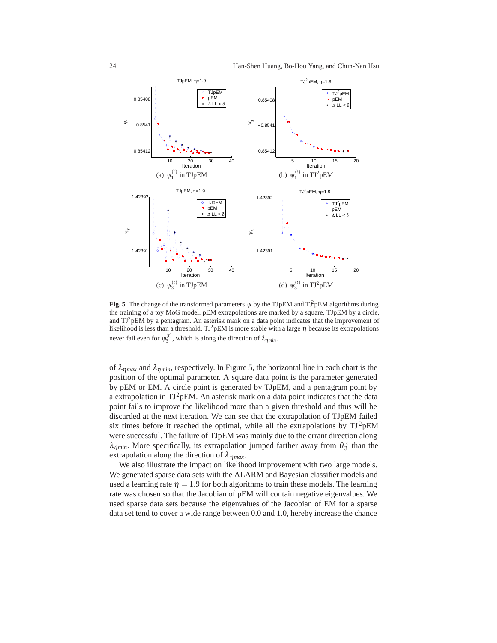

**Fig. 5** The change of the transformed parameters  $\psi$  by the TJpEM and T $\hat{\mathcal{F}}$ pEM algorithms during the training of a toy MoG model. pEM extrapolations are marked by a square, TJpEM by a circle, and  $TJ^2pEM$  by a pentagram. An asterisk mark on a data point indicates that the improvement of likelihood is less than a threshold. TJ<sup>2</sup>pEM is more stable with a large  $\eta$  because its extrapolations never fail even for  $\psi_3^{(t)}$ , which is along the direction of  $\lambda_{\eta min}$ .

of  $\lambda_{nmax}$  and  $\lambda_{nmin}$ , respectively. In Figure 5, the horizontal line in each chart is the position of the optimal parameter. A square data point is the parameter generated by pEM or EM. A circle point is generated by TJpEM, and a pentagram point by a extrapolation in TJ<sup>2</sup>pEM. An asterisk mark on a data point indicates that the data point fails to improve the likelihood more than a given threshold and thus will be discarded at the next iteration. We can see that the extrapolation of TJpEM failed six times before it reached the optimal, while all the extrapolations by  $TJ^2pEM$ were successful. The failure of TJpEM was mainly due to the errant direction along  $\lambda_{\eta m i n}$ . More specifically, its extrapolation jumped farther away from  $\theta_3^*$  than the extrapolation along the direction of  $\lambda_{\eta max}$ .

We also illustrate the impact on likelihood improvement with two large models. We generated sparse data sets with the ALARM and Bayesian classifier models and used a learning rate  $\eta = 1.9$  for both algorithms to train these models. The learning rate was chosen so that the Jacobian of pEM will contain negative eigenvalues. We used sparse data sets because the eigenvalues of the Jacobian of EM for a sparse data set tend to cover a wide range between 0.0 and 1.0, hereby increase the chance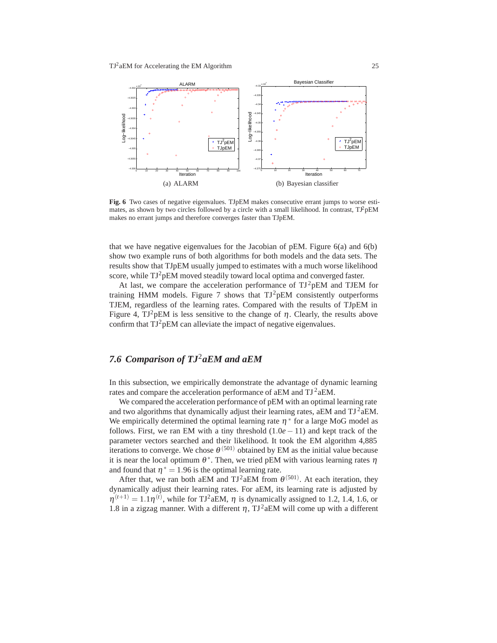

**Fig. 6** Two cases of negative eigenvalues. TJpEM makes consecutive errant jumps to worse estimates, as shown by two circles followed by a circle with a small likelihood. In contrast,  $T^2pEM$ makes no errant jumps and therefore converges faster than TJpEM.

that we have negative eigenvalues for the Jacobian of  $pEM$ . Figure  $6(a)$  and  $6(b)$ show two example runs of both algorithms for both models and the data sets. The results show that TJpEM usually jumped to estimates with a much worse likelihood score, while TJ<sup>2</sup>pEM moved steadily toward local optima and converged faster.

At last, we compare the acceleration performance of  $TJ^2pEM$  and TJEM for training HMM models. Figure 7 shows that  $TJ^2pEM$  consistently outperforms TJEM, regardless of the learning rates. Compared with the results of TJpEM in Figure 4,  $TJ^2pEM$  is less sensitive to the change of  $\eta$ . Clearly, the results above confirm that  $TJ^2pEM$  can alleviate the impact of negative eigenvalues.

### *7.6 Comparison of TJ*2*aEM and aEM*

In this subsection, we empirically demonstrate the advantage of dynamic learning rates and compare the acceleration performance of aEM and  $TJ^2aEM$ .

We compared the acceleration performance of pEM with an optimal learning rate and two algorithms that dynamically adjust their learning rates,  $aEM$  and  $TJ^2aEM$ . We empirically determined the optimal learning rate  $\eta^*$  for a large MoG model as follows. First, we ran EM with a tiny threshold  $(1.0e-11)$  and kept track of the parameter vectors searched and their likelihood. It took the EM algorithm 4,885 iterations to converge. We chose  $\theta^{(501)}$  obtained by EM as the initial value because it is near the local optimum  $\theta^*$ . Then, we tried pEM with various learning rates  $\eta$ and found that  $\eta^* = 1.96$  is the optimal learning rate.

After that, we ran both aEM and TJ<sup>2</sup> aEM from  $\theta^{(501)}$ . At each iteration, they dynamically adjust their learning rates. For aEM, its learning rate is adjusted by  $\eta^{(t+1)} = 1.1\eta^{(t)}$ , while for TJ<sup>2</sup> aEM,  $\eta$  is dynamically assigned to 1.2, 1.4, 1.6, or 1.8 in a zigzag manner. With a different  $\eta$ , TJ<sup>2</sup> aEM will come up with a different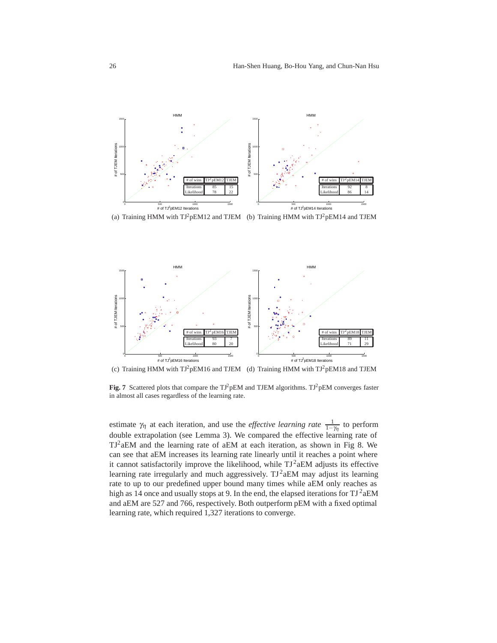

(a) Training HMM with  $TI^2pEM12$  and TJEM (b) Training HMM with  $TI^2pEM14$  and TJEM



Fig. 7 Scattered plots that compare the TJ<sup>2</sup>pEM and TJEM algorithms. TJ<sup>2</sup>pEM converges faster in almost all cases regardless of the learning rate.

estimate  $\gamma_{\eta}$  at each iteration, and use the *effective learning rate*  $\frac{1}{1-\gamma_{\eta}}$  to perform double extrapolation (see Lemma 3). We compared the effective learning rate of  $TJ^2aEM$  and the learning rate of aEM at each iteration, as shown in Fig 8. We can see that aEM increases its learning rate linearly until it reaches a point where it cannot satisfactorily improve the likelihood, while  $TJ^2aEM$  adjusts its effective learning rate irregularly and much aggressively.  $TJ^2aEM$  may adjust its learning rate to up to our predefined upper bound many times while aEM only reaches as high as 14 once and usually stops at 9. In the end, the elapsed iterations for  $TJ^2aEM$ and aEM are 527 and 766, respectively. Both outperform pEM with a fixed optimal learning rate, which required 1,327 iterations to converge.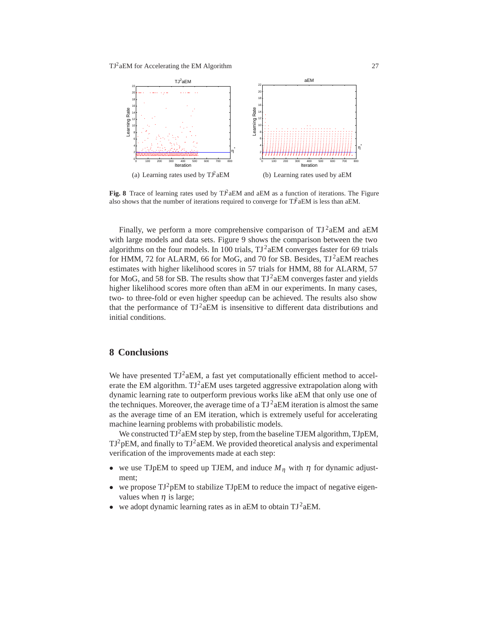

**Fig. 8** Trace of learning rates used by  $T^2$  aEM and aEM as a function of iterations. The Figure also shows that the number of iterations required to converge for  $T\hat{F}aEM$  is less than aEM.

Finally, we perform a more comprehensive comparison of  $TJ^2aEM$  and  $aEM$ with large models and data sets. Figure 9 shows the comparison between the two algorithms on the four models. In 100 trials,  $TJ^2aEM$  converges faster for 69 trials for HMM, 72 for ALARM, 66 for MoG, and 70 for SB. Besides,  $TJ^2aEM$  reaches estimates with higher likelihood scores in 57 trials for HMM, 88 for ALARM, 57 for MoG, and 58 for SB. The results show that  $TJ^2aEM$  converges faster and yields higher likelihood scores more often than aEM in our experiments. In many cases, two- to three-fold or even higher speedup can be achieved. The results also show that the performance of  $TJ^2aEM$  is insensitive to different data distributions and initial conditions.

#### **8 Conclusions**

We have presented  $TJ^2aEM$ , a fast yet computationally efficient method to accelerate the EM algorithm.  $TJ^2aEM$  uses targeted aggressive extrapolation along with dynamic learning rate to outperform previous works like aEM that only use one of the techniques. Moreover, the average time of a  $TJ^2aEM$  iteration is almost the same as the average time of an EM iteration, which is extremely useful for accelerating machine learning problems with probabilistic models.

We constructed  $TJ^2aEM$  step by step, from the baseline TJEM algorithm, TJpEM,  $TJ^2pEM$ , and finally to  $TJ^2aEM$ . We provided theoretical analysis and experimental verification of the improvements made at each step:

- we use TJpEM to speed up TJEM, and induce  $M_{\eta}$  with  $\eta$  for dynamic adjustment;
- we propose  $TJ^2pEM$  to stabilize TJpEM to reduce the impact of negative eigenvalues when  $\eta$  is large;
- we adopt dynamic learning rates as in aEM to obtain  $TJ^2aEM$ .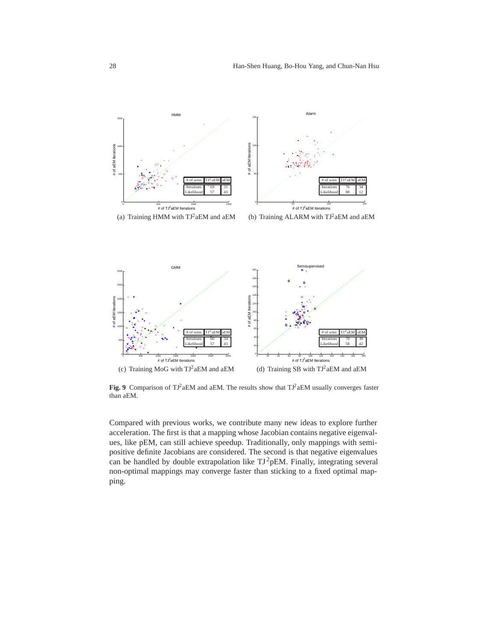

Fig. 9 Comparison of TJ<sup>2</sup>aEM and aEM. The results show that TJ<sup>2</sup>aEM usually converges faster than aEM.

Compared with previous works, we contribute many new ideas to explore further acceleration. The first is that a mapping whose Jacobian contains negative eigenvalues, like pEM, can still achieve speedup. Traditionally, only mappings with semipositive definite Jacobians are considered. The second is that negative eigenvalues can be handled by double extrapolation like  $TJ^2pEM$ . Finally, integrating several non-optimal mappings may converge faster than sticking to a fixed optimal mapping.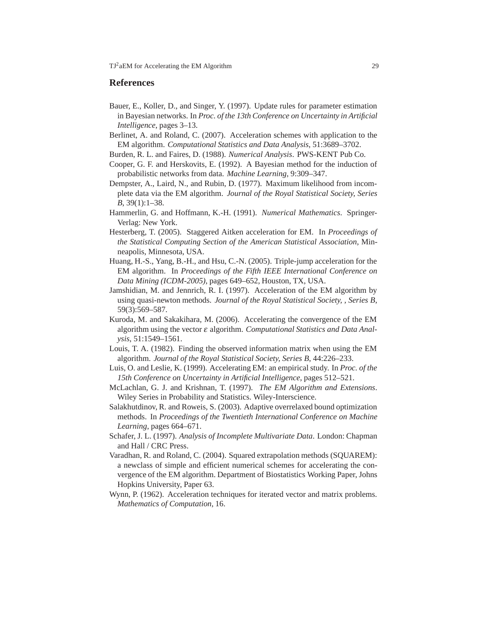#### **References**

- Bauer, E., Koller, D., and Singer, Y. (1997). Update rules for parameter estimation in Bayesian networks. In *Proc. of the 13th Conference on Uncertainty in Artificial Intelligence*, pages 3–13.
- Berlinet, A. and Roland, C. (2007). Acceleration schemes with application to the EM algorithm. *Computational Statistics and Data Analysis*, 51:3689–3702.
- Burden, R. L. and Faires, D. (1988). *Numerical Analysis*. PWS-KENT Pub Co.
- Cooper, G. F. and Herskovits, E. (1992). A Bayesian method for the induction of probabilistic networks from data. *Machine Learning*, 9:309–347.
- Dempster, A., Laird, N., and Rubin, D. (1977). Maximum likelihood from incomplete data via the EM algorithm. *Journal of the Royal Statistical Society, Series B*, 39(1):1–38.
- Hammerlin, G. and Hoffmann, K.-H. (1991). *Numerical Mathematics*. Springer-Verlag: New York.
- Hesterberg, T. (2005). Staggered Aitken acceleration for EM. In *Proceedings of the Statistical Computing Section of the American Statistical Association*, Minneapolis, Minnesota, USA.
- Huang, H.-S., Yang, B.-H., and Hsu, C.-N. (2005). Triple-jump acceleration for the EM algorithm. In *Proceedings of the Fifth IEEE International Conference on Data Mining (ICDM-2005)*, pages 649–652, Houston, TX, USA.
- Jamshidian, M. and Jennrich, R. I. (1997). Acceleration of the EM algorithm by using quasi-newton methods. *Journal of the Royal Statistical Society, , Series B*, 59(3):569–587.
- Kuroda, M. and Sakakihara, M. (2006). Accelerating the convergence of the EM algorithm using the vector <sup>ε</sup> algorithm. *Computational Statistics and Data Analysis*, 51:1549–1561.
- Louis, T. A. (1982). Finding the observed information matrix when using the EM algorithm. *Journal of the Royal Statistical Society, Series B*, 44:226–233.
- Luis, O. and Leslie, K. (1999). Accelerating EM: an empirical study. In *Proc. of the 15th Conference on Uncertainty in Artificial Intelligence*, pages 512–521.
- McLachlan, G. J. and Krishnan, T. (1997). *The EM Algorithm and Extensions*. Wiley Series in Probability and Statistics. Wiley-Interscience.
- Salakhutdinov, R. and Roweis, S. (2003). Adaptive overrelaxed bound optimization methods. In *Proceedings of the Twentieth International Conference on Machine Learning*, pages 664–671.
- Schafer, J. L. (1997). *Analysis of Incomplete Multivariate Data*. London: Chapman and Hall / CRC Press.
- Varadhan, R. and Roland, C. (2004). Squared extrapolation methods (SQUAREM): a newclass of simple and efficient numerical schemes for accelerating the convergence of the EM algorithm. Department of Biostatistics Working Paper, Johns Hopkins University, Paper 63.
- Wynn, P. (1962). Acceleration techniques for iterated vector and matrix problems. *Mathematics of Computation*, 16.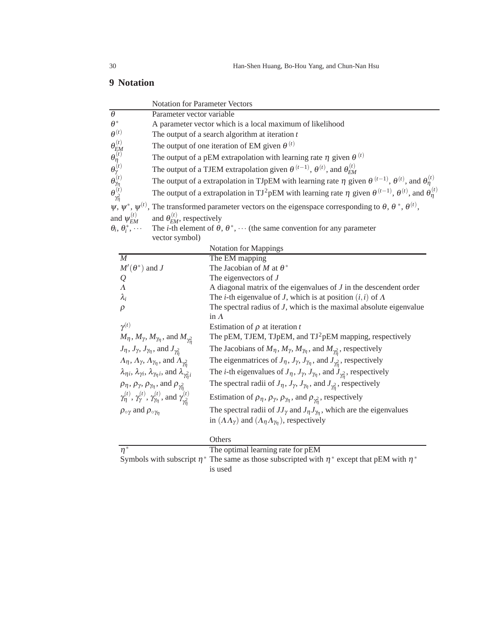# **9 Notation**

|                                                                                                                              | Notation for Parameter Vectors                                                                                                              |                                                                                                                                                                                                  |  |  |  |
|------------------------------------------------------------------------------------------------------------------------------|---------------------------------------------------------------------------------------------------------------------------------------------|--------------------------------------------------------------------------------------------------------------------------------------------------------------------------------------------------|--|--|--|
| $\overline{\theta}$                                                                                                          | Parameter vector variable                                                                                                                   |                                                                                                                                                                                                  |  |  |  |
| $\theta^*$                                                                                                                   |                                                                                                                                             | A parameter vector which is a local maximum of likelihood                                                                                                                                        |  |  |  |
| $\theta^{(t)}$                                                                                                               |                                                                                                                                             | The output of a search algorithm at iteration $t$                                                                                                                                                |  |  |  |
|                                                                                                                              |                                                                                                                                             | The output of one iteration of EM given $\theta^{(t)}$                                                                                                                                           |  |  |  |
|                                                                                                                              |                                                                                                                                             | The output of a pEM extrapolation with learning rate $\eta$ given $\theta^{(t)}$                                                                                                                 |  |  |  |
|                                                                                                                              |                                                                                                                                             | The output of a TJEM extrapolation given $\theta^{(t-1)}$ , $\theta^{(t)}$ , and $\theta_{EM}^{(t)}$                                                                                             |  |  |  |
|                                                                                                                              |                                                                                                                                             | The output of a extrapolation in TJpEM with learning rate $\eta$ given $\theta^{(t-1)}$ , $\theta^{(t)}$ , and $\theta^{(t)}_{\eta}$                                                             |  |  |  |
| $\theta_{EM}^{(t)}\ \theta_{\eta}^{(t)}\ \theta_{\eta}^{(t)}\ \theta_{\eta}^{(t)}\ \theta_{\eta}^{(t)}\ \theta_{\eta}^{(t)}$ | The output of a extrapolation in TJ <sup>2</sup> pEM with learning rate $\eta$ given $\theta^{(t-1)}$ , $\theta^{(t)}$ , and $\theta^{(t)}$ |                                                                                                                                                                                                  |  |  |  |
|                                                                                                                              |                                                                                                                                             | $\psi$ , $\psi^*$ , $\psi^{(t)}$ , The transformed parameter vectors on the eigenspace corresponding to $\theta$ , $\theta^*$ , $\theta^{(t)}$ ,                                                 |  |  |  |
| and $\psi_{EM}^{(t)}$                                                                                                        | and $\theta_{EM}^{(t)}$ , respectively                                                                                                      |                                                                                                                                                                                                  |  |  |  |
| $\theta_i$ , $\theta_i^*$ , $\cdots$                                                                                         |                                                                                                                                             | The <i>i</i> -th element of $\theta$ , $\theta^*$ , $\cdots$ (the same convention for any parameter                                                                                              |  |  |  |
|                                                                                                                              | vector symbol)                                                                                                                              |                                                                                                                                                                                                  |  |  |  |
|                                                                                                                              |                                                                                                                                             | <b>Notation for Mappings</b>                                                                                                                                                                     |  |  |  |
| M                                                                                                                            |                                                                                                                                             | The EM mapping                                                                                                                                                                                   |  |  |  |
| $M'(\theta^*)$ and J                                                                                                         |                                                                                                                                             | The Jacobian of M at $\theta^*$                                                                                                                                                                  |  |  |  |
| $\mathcal{Q}$                                                                                                                |                                                                                                                                             | The eigenvectors of $J$                                                                                                                                                                          |  |  |  |
| $\Lambda$                                                                                                                    |                                                                                                                                             | A diagonal matrix of the eigenvalues of $J$ in the descendent order                                                                                                                              |  |  |  |
| $\lambda_i$                                                                                                                  |                                                                                                                                             | The <i>i</i> -th eigenvalue of <i>J</i> , which is at position $(i, i)$ of $\Lambda$                                                                                                             |  |  |  |
| $\rho$                                                                                                                       |                                                                                                                                             | The spectral radius of $J$ , which is the maximal absolute eigenvalue                                                                                                                            |  |  |  |
| $\gamma^{(t)}$                                                                                                               |                                                                                                                                             | in $\Lambda$<br>Estimation of $\rho$ at iteration t                                                                                                                                              |  |  |  |
|                                                                                                                              | $M_{\eta}$ , $M_{\gamma}$ , $M_{\gamma_{\eta}}$ , and $M_{\gamma_{\eta}^2}$                                                                 | The pEM, TJEM, TJpEM, and TJ <sup>2</sup> pEM mapping, respectively                                                                                                                              |  |  |  |
|                                                                                                                              | $J_{\eta}$ , $J_{\gamma}$ , $J_{\gamma_{\eta}}$ , and $J_{\gamma_{\eta}^2}$                                                                 | The Jacobians of $M_{\eta}$ , $M_{\gamma}$ , $M_{\gamma_{\eta}}$ , and $M_{\gamma_n^2}$ , respectively                                                                                           |  |  |  |
|                                                                                                                              | $\Lambda_{\eta}, \Lambda_{\gamma}, \Lambda_{\gamma_{\eta}},$ and $\Lambda_{\gamma_n^2}$                                                     |                                                                                                                                                                                                  |  |  |  |
|                                                                                                                              | $\lambda_{\eta i}$ , $\lambda_{\gamma i}$ , $\lambda_{\gamma_{\eta} i}$ , and $\lambda_{\gamma_{\eta}^2 i}$                                 | The eigenmatrices of $J_{\eta}$ , $J_{\gamma}$ , $J_{\gamma_{\eta}}$ , and $J_{\gamma_n^2}$ , respectively                                                                                       |  |  |  |
|                                                                                                                              |                                                                                                                                             | The <i>i</i> -th eigenvalues of $J_{\eta}$ , $J_{\gamma}$ , $J_{\gamma_{\eta}}$ , and $J_{\gamma_{\eta}^2}$ , respectively                                                                       |  |  |  |
|                                                                                                                              | $\rho_{\eta}, \rho_{\gamma}, \rho_{\gamma_{\eta}},$ and $\rho_{\gamma_{\eta}^2}$                                                            | The spectral radii of $J_{\eta}$ , $J_{\gamma}$ , $J_{\gamma_{\eta}}$ , and $J_{\gamma_n^2}$ , respectively                                                                                      |  |  |  |
|                                                                                                                              | $\gamma_{\eta}^{(t)}$ , $\gamma_{\gamma}^{(t)}$ , $\gamma_{\eta}^{(t)}$ , and $\gamma_{\gamma2}^{(t)}$                                      | Estimation of $\rho_{\eta}, \rho_{\gamma}, \rho_{\gamma_{\eta}},$ and $\rho_{\gamma_{\eta}^2}$ , respectively                                                                                    |  |  |  |
| $\rho_{\circ \gamma}$ and $\rho_{\circ \gamma_n}$                                                                            |                                                                                                                                             | The spectral radii of $JJ_{\gamma}$ and $J_{\eta}J_{\gamma_{\eta}}$ , which are the eigenvalues<br>in $(\Lambda \Lambda_{\gamma})$ and $(\Lambda_{\eta} \Lambda_{\gamma_{\eta}})$ , respectively |  |  |  |
|                                                                                                                              |                                                                                                                                             | Others                                                                                                                                                                                           |  |  |  |
| $\overline{\eta^*}$                                                                                                          |                                                                                                                                             | The optimal learning rate for pEM                                                                                                                                                                |  |  |  |
|                                                                                                                              |                                                                                                                                             | Symbols with subscript $\eta^*$ The same as those subscripted with $\eta^*$ except that pEM with $\eta^*$<br>is used                                                                             |  |  |  |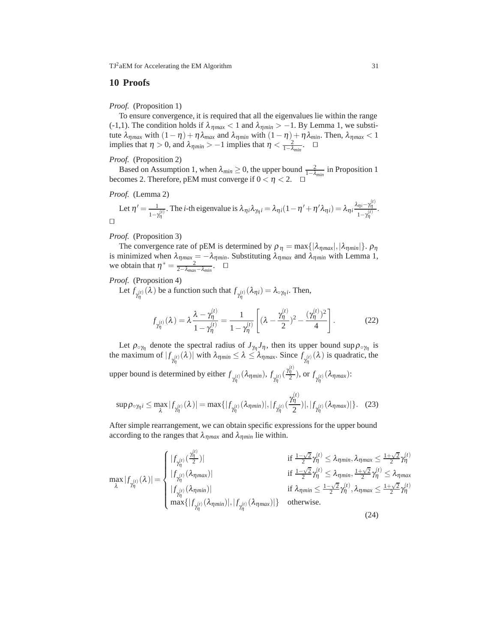#### **10 Proofs**

*Proof.* (Proposition 1)

To ensure convergence, it is required that all the eigenvalues lie within the range (-1,1). The condition holds if  $\lambda_{\eta max}$  < 1 and  $\lambda_{\eta min}$  > -1. By Lemma 1, we substitute  $\lambda_{\eta max}$  with  $(1 - \eta) + \eta \lambda_{max}$  and  $\lambda_{\eta min}$  with  $(1 - \eta) + \eta \lambda_{min}$ . Then,  $\lambda_{\eta max} < 1$ implies that  $\eta > 0$ , and  $\lambda_{\eta min} > -1$  implies that  $\eta < \frac{2}{1-\lambda_{\text{min}}}.$   $\Box$ 

*Proof.* (Proposition 2)

Based on Assumption 1, when  $\lambda_{min} \ge 0$ , the upper bound  $\frac{2}{1-\lambda_{min}}$  in Proposition 1 becomes 2. Therefore, pEM must converge if  $0 < \eta < 2$ .  $\Box$ 

*Proof.* (Lemma 2)

Let 
$$
\eta' = \frac{1}{1 - \gamma_{\eta}^{(i)}}
$$
. The *i*-th eigenvalue is  $\lambda_{\eta i} \lambda_{\gamma_{\eta} i} = \lambda_{\eta i} (1 - \eta' + \eta' \lambda_{\eta i}) = \lambda_{\eta i} \frac{\lambda_{\eta i} - \gamma_{\eta}^{(i)}}{1 - \gamma_{\eta}^{(i)}}$ .

#### *Proof.* (Proposition 3)

The convergence rate of pEM is determined by  $\rho_{\eta} = \max\{|\lambda_{\eta max}|, |\lambda_{\eta min}|\}\$ .  $\rho_{\eta}$ is minimized when  $\lambda_{\eta_{max}} = -\lambda_{\eta_{min}}$ . Substituting  $\lambda_{\eta_{max}}$  and  $\lambda_{\eta_{min}}$  with Lemma 1, we obtain that  $\eta^* = \frac{2}{2 - \lambda_{max} - \lambda_{min}}$ .  $\Box$ 

*Proof.* (Proposition 4)

Let  $f_{\gamma_n^{(t)}}(\lambda)$  be a function such that  $f_{\gamma_n^{(t)}}(\lambda_{\eta_i}) = \lambda_{\gamma_{n_i}^{(t)}}$ . Then,

$$
f_{\gamma_{\eta}^{(t)}}(\lambda) = \lambda \frac{\lambda - \gamma_{\eta}^{(t)}}{1 - \gamma_{\eta}^{(t)}} = \frac{1}{1 - \gamma_{\eta}^{(t)}} \left[ (\lambda - \frac{\gamma_{\eta}^{(t)}}{2})^2 - \frac{(\gamma_{\eta}^{(t)})^2}{4} \right].
$$
 (22)

Let  $\rho_{\circ\gamma\eta}$  denote the spectral radius of  $J_{\gamma\eta}J_{\eta}$ , then its upper bound sup  $\rho_{\circ\gamma\eta}$  is the maximum of  $|f_{\gamma_n^{(t)}}(\lambda)|$  with  $\lambda_{\eta_{min}} \leq \lambda \leq \lambda_{\eta_{max}}$ . Since  $f_{\gamma_n^{(t)}}(\lambda)$  is quadratic, the upper bound is determined by either  $f_{\gamma_n^{(t)}}(\lambda_{\eta min}), f_{\gamma_n^{(t)}}(\frac{\gamma_n^{(t)}}{2}),$  or  $f_{\gamma_n^{(t)}}(\lambda_{\eta max})$ :

upper bound is determined by either 
$$
f_{\gamma_{\eta}}^{(t)}(\lambda_{\eta min}), f_{\gamma_{\eta}}^{(t)}(\frac{t\eta}{2}),
$$
 or  $f_{\gamma_{\eta}}^{(t)}(\lambda_{\eta max})$ :

$$
\sup \rho_{\circ \gamma_{\eta} i} \le \max_{\lambda} |f_{\gamma_{\eta}^{(t)}}(\lambda)| = \max\{|f_{\gamma_{\eta}^{(t)}}(\lambda_{\eta min})|, |f_{\gamma_{\eta}^{(t)}}(\frac{\gamma_{\eta}^{(t)}}{2})|, |f_{\gamma_{\eta}^{(t)}}(\lambda_{\eta max})|\}. \tag{23}
$$

After simple rearrangement, we can obtain specific expressions for the upper bound according to the ranges that  $\lambda_{\eta_{max}}$  and  $\lambda_{\eta_{min}}$  lie within.

$$
\max_{\lambda} |f_{\gamma_{\eta}^{(t)}}(\lambda)| = \begin{cases} |f_{\gamma_{\eta}^{(t)}}(\frac{\gamma_{\eta}^{(t)}}{2})| & \text{if } \frac{1-\sqrt{2}}{2} \gamma_{\eta}^{(t)} \leq \lambda_{\eta_{\text{min}}}, \lambda_{\eta_{\text{max}}} \leq \frac{1+\sqrt{2}}{2} \gamma_{\eta}^{(t)} \\ |f_{\gamma_{\eta}^{(t)}}(\lambda_{\eta_{\text{max}}})| & \text{if } \frac{1-\sqrt{2}}{2} \gamma_{\eta}^{(t)} \leq \lambda_{\eta_{\text{min}}}, \frac{1+\sqrt{2}}{2} \gamma_{\eta}^{(t)} \leq \lambda_{\eta_{\text{max}}} \\ |f_{\gamma_{\eta}^{(t)}}(\lambda_{\eta_{\text{min}}})| & \text{if } \lambda_{\eta_{\text{min}}} \leq \frac{1-\sqrt{2}}{2} \gamma_{\eta}^{(t)}, \lambda_{\eta_{\text{max}}} \leq \frac{1+\sqrt{2}}{2} \gamma_{\eta}^{(t)} \end{cases}
$$
\n
$$
\max\{|f_{\gamma_{\eta}^{(t)}}(\lambda_{\eta_{\text{min}}})|, |f_{\gamma_{\eta}^{(t)}}(\lambda_{\eta_{\text{max}}})|\}
$$
 otherwise. (24)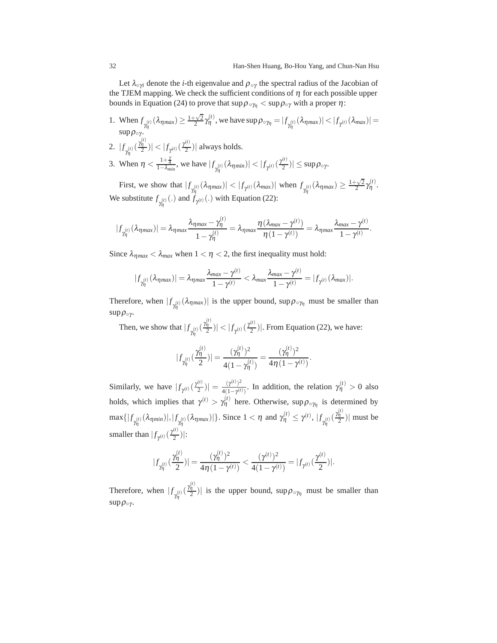Let  $\lambda_{\text{o}\gamma i}$  denote the *i*-th eigenvalue and  $\rho_{\text{o}\gamma}$  the spectral radius of the Jacobian of the TJEM mapping. We check the sufficient conditions of  $\eta$  for each possible upper bounds in Equation (24) to prove that  $\sup \rho_{\gamma \gamma} < \sup \rho_{\gamma}$  with a proper  $\eta$ :

- 1. When  $f_{\gamma_1^{(t)}}(\lambda_{\eta_{max}}) \ge \frac{1+\sqrt{2}}{2} \gamma_1^{(t)}$ , we have  $\sup \rho_{\circ \gamma_1} = |f_{\gamma_1^{(t)}}(\lambda_{\eta_{max}})| < |f_{\gamma_1^{(t)}}(\lambda_{max})|$  $\sup \rho_{\circ \gamma}$ .
- 2.  $|f_{\gamma_n^{(t)}}(\frac{\gamma_1^{(t)}}{2})| < |f_{\gamma^{(t)}}(\frac{\gamma_1^{(t)}}{2})|$  always holds. η
- 3. When  $\eta < \frac{1+\frac{\gamma}{4}}{1-\lambda_{min}}$ , we have  $|f_{\gamma_{\eta_{j}}^{(t)}}(\lambda_{\eta_{min}})| < |f_{\gamma_{j}(t)}(\frac{\gamma_{j}(t)}{2})| \leq \sup \rho_{\circ \gamma}$ .

First, we show that  $|f_{\gamma(\tau)}(\lambda_{\eta max})| < |f_{\gamma(\tau)}(\lambda_{max})|$  when  $f_{\gamma(\tau)}(\lambda_{\eta max}) \geq \frac{1+\sqrt{2}}{2}\gamma(\tau)}$ . We substitute  $f_{\gamma_n^{(t)}}(.)$  and  $f_{\gamma^{(t)}}(.)$  with Equation (22):

$$
|f_{\gamma_{\eta}^{(t)}}(\lambda_{\eta max})| = \lambda_{\eta max} \frac{\lambda_{\eta max} - \gamma_{\eta}^{(t)}}{1 - \gamma_{\eta}^{(t)}} = \lambda_{\eta max} \frac{\eta(\lambda_{max} - \gamma^{(t)})}{\eta(1 - \gamma^{(t)})} = \lambda_{\eta max} \frac{\lambda_{max} - \gamma^{(t)}}{1 - \gamma^{(t)}}.
$$

Since  $\lambda_{\eta_{max}} < \lambda_{\text{max}}$  when  $1 < \eta < 2$ , the first inequality must hold:

$$
|f_{\gamma_{\eta}^{(t)}}(\lambda_{\eta max})| = \lambda_{\eta max} \frac{\lambda_{max} - \gamma^{(t)}}{1 - \gamma^{(t)}} < \lambda_{max} \frac{\lambda_{max} - \gamma^{(t)}}{1 - \gamma^{(t)}} = |f_{\gamma^{(t)}}(\lambda_{max})|.
$$

Therefore, when  $|f_{\gamma_{\eta}^{(t)}}(\lambda_{\eta_{max}})|$  is the upper bound, sup  $\rho_{\circ\gamma_{\eta}}$  must be smaller than  $\sup \rho_{\circ \gamma}$ .

Then, we show that  $|f_{\gamma_n^{(t)}}(\frac{\gamma_n^{(t)}}{2})| < |f_{\gamma^{(t)}}(\frac{\gamma_n^{(t)}}{2})|$ . From Equation (22), we have:

$$
|f_{\gamma_{\eta}^{(t)}}(\frac{\gamma_{\eta}^{(t)}}{2})| = \frac{(\gamma_{\eta}^{(t)})^2}{4(1-\gamma_{\eta}^{(t)})} = \frac{(\gamma_{\eta}^{(t)})^2}{4\eta(1-\gamma^{(t)})}.
$$

Similarly, we have  $|f_{\gamma^{(t)}}(\frac{\gamma^{(t)}}{2})| = \frac{(\gamma^{(t)})^2}{4(1-\gamma^{(t)})}$ . In addition, the relation  $\gamma^{(t)}_{\eta} > 0$  also holds, which implies that  $\gamma^{(t)} > \gamma^{(t)}_1$  here. Otherwise, sup  $\rho_{\circ\gamma_1}$  is determined by  $\max\{|f_{\gamma_{\eta}^{(t)}}(\lambda_{\eta_{min}})|, |f_{\gamma_{\eta}^{(t)}}(\lambda_{\eta_{max}})|\}$ . Since  $1 < \eta$  and  $\gamma_{\eta}^{(t)} \leq \gamma^{(t)}, |f_{\gamma_{\eta}^{(t)}}(\frac{\gamma_{\eta}^{(t)}}{2})|$  must be smaller than  $|f_{\gamma^{(t)}}(\frac{\gamma^{(t)}}{2})|$ :

$$
|f_{\gamma_{\eta}^{(t)}}(\frac{\gamma_{\eta}^{(t)}}{2})| = \frac{(\gamma_{\eta}^{(t)})^2}{4\eta(1-\gamma^{(t)})} < \frac{(\gamma^{(t)})^2}{4(1-\gamma^{(t)})} = |f_{\gamma^{(t)}}(\frac{\gamma^{(t)}}{2})|.
$$

Therefore, when  $|f_{\gamma_n^{(t)}}(\frac{\gamma_n^{(t)}}{2})|$  is the upper bound, sup  $\rho_{\circ\gamma_n}$  must be smaller than sup  $ρ<sub>ογ</sub>$ .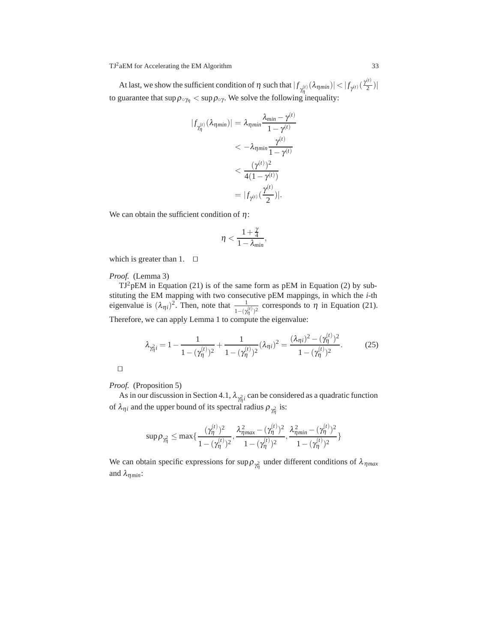At last, we show the sufficient condition of  $\eta$  such that  $|f_{\gamma(\eta)}( \lambda_{\eta min})| < |f_{\gamma(t)}(\frac{\gamma^{(t)}}{2})|$ to guarantee that  $\sup \rho_{\circ \gamma_1} < \sup \rho_{\circ \gamma}$ . We solve the following inequality:

$$
|f_{\gamma_{\eta}^{(t)}}(\lambda_{\eta min})| = \lambda_{\eta min} \frac{\lambda_{min} - \gamma^{(t)}}{1 - \gamma^{(t)}}
$$
  
< 
$$
< -\lambda_{\eta min} \frac{\gamma^{(t)}}{1 - \gamma^{(t)}}
$$
  
< 
$$
< \frac{(\gamma^{(t)})^2}{4(1 - \gamma^{(t)})}
$$
  

$$
= |f_{\gamma^{(t)}}(\frac{\gamma^{(t)}}{2})|.
$$

We can obtain the sufficient condition of  $\eta$ :

$$
\eta < \frac{1+\frac{\gamma}{4}}{1-\lambda_{min}},
$$

which is greater than 1.  $\square$ 

*Proof.* (Lemma 3)

 $TJ^2pEM$  in Equation (21) is of the same form as  $pEM$  in Equation (2) by substituting the EM mapping with two consecutive pEM mappings, in which the *i*-th eigenvalue is  $(\lambda_{\eta i})^2$ . Then, note that  $\frac{1}{1-(\gamma_\eta^{(t)})^2}$  corresponds to  $\eta$  in Equation (21). Therefore, we can apply Lemma 1 to compute the eigenvalue:

$$
\lambda_{\gamma_{\eta}^{2}i} = 1 - \frac{1}{1 - (\gamma_{\eta}^{(t)})^{2}} + \frac{1}{1 - (\gamma_{\eta}^{(t)})^{2}} (\lambda_{\eta i})^{2} = \frac{(\lambda_{\eta i})^{2} - (\gamma_{\eta}^{(t)})^{2}}{1 - (\gamma_{\eta}^{(t)})^{2}}.
$$
 (25)

| ۰ | ۰ |  |
|---|---|--|
|   |   |  |
|   |   |  |

*Proof.* (Proposition 5)

As in our discussion in Section 4.1,  $\lambda_{\gamma_{\overline{n}}^2 i}$  can be considered as a quadratic function of  $\lambda_{\eta i}$  and the upper bound of its spectral radius  $\rho_{\gamma_{\eta}^2}$  is:

$$
\sup \rho_{\gamma^2_{\eta}} \leq \max\{\frac{(\gamma^{(t)}_{\eta})^2}{1-(\gamma^{(t)}_{\eta})^2},\frac{\lambda_{\eta max}^2-(\gamma^{(t)}_{\eta})^2}{1-(\gamma^{(t)}_{\eta})^2},\frac{\lambda_{\eta min}^2-(\gamma^{(t)}_{\eta})^2}{1-(\gamma^{(t)}_{\eta})^2}\}
$$

We can obtain specific expressions for  $\sup \rho_{\gamma_1^2}$  under different conditions of  $\lambda_{\eta_{max}}$ and  $\lambda_{\eta min}$ :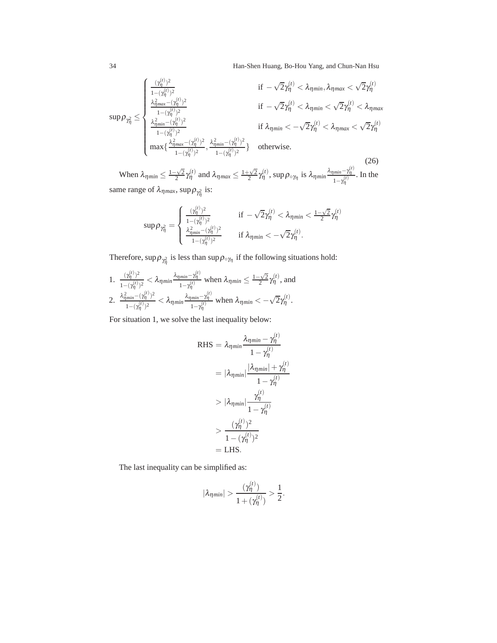34 Han-Shen Huang, Bo-Hou Yang, and Chun-Nan Hsu

$$
\sup \rho_{\gamma_{\eta}^{2}} \leq \begin{cases} \frac{(\gamma_{\eta}^{(i)})^{2}}{1-(\gamma_{\eta}^{(i)})^{2}} & \text{if } -\sqrt{2}\gamma_{\eta}^{(i)} < \lambda_{\eta min}, \lambda_{\eta max} < \sqrt{2}\gamma_{\eta}^{(i)} \\ \frac{\lambda_{\eta max}^{2}-(\gamma_{\eta}^{(i)})^{2}}{1-(\gamma_{\eta}^{(i)})^{2}} & \text{if } -\sqrt{2}\gamma_{\eta}^{(i)} < \lambda_{\eta min} < \sqrt{2}\gamma_{\eta}^{(i)} < \lambda_{\eta max} \\ \frac{\lambda_{\eta min}^{2}-(\gamma_{\eta}^{(i)})^{2}}{1-(\gamma_{\eta}^{(i)})^{2}} & \text{if } \lambda_{\eta min} < -\sqrt{2}\gamma_{\eta}^{(i)} < \lambda_{\eta max} < \sqrt{2}\gamma_{\eta}^{(i)} \\ \max\{\frac{\lambda_{\eta max}^{2}-(\gamma_{\eta}^{(i)})^{2}}{1-(\gamma_{\eta}^{(i)})^{2}}, \frac{\lambda_{\eta min}^{2}-(\gamma_{\eta}^{(i)})^{2}}{1-(\gamma_{\eta}^{(i)})^{2}}\} & \text{otherwise.} \end{cases}
$$

(26) When  $\lambda_{\eta min} \leq \frac{1-\sqrt{2}}{2} \gamma_{\eta}^{(t)}$  and  $\lambda_{\eta max} \leq \frac{1+\sqrt{2}}{2} \gamma_{\eta}^{(t)}$ , sup  $\rho_{\circ \gamma_{\eta}}$  is  $\lambda_{\eta min} \frac{\lambda_{\eta min} - \gamma_{\eta}^{(t)}}{1-\gamma_{\eta}^{(t)}}$  $\frac{m\bar{m} - r\eta}{1-\gamma_{\eta}^{(t)}}$ . In the same range of  $\lambda_{\eta max}$ , sup  $\rho_{\gamma_{\eta}^2}$  is:

$$
\text{sup}\,\rho_{\gamma_\eta^2} = \begin{cases} \frac{(\gamma_\eta^{(t)})^2}{1-(\gamma_\eta^{(t)})^2} & \text{if } -\sqrt{2}\gamma_\eta^{(t)} < \lambda_{\eta\textit{min}} < \frac{1-\sqrt{2}}{2}\gamma_\eta^{(t)} \\ \frac{\lambda_{\eta\textit{min}}^2-(\gamma_\eta^{(t)})^2}{1-(\gamma_\eta^{(t)})^2} & \text{if } \lambda_{\eta\textit{min}} < -\sqrt{2}\gamma_\eta^{(t)}. \end{cases}
$$

Therefore, sup  $\rho_{\gamma_{\eta}^2}$  is less than sup  $\rho_{\circ\gamma_{\eta}}$  if the following situations hold:

1. 
$$
\frac{(\gamma_{\eta}^{(t)})^2}{1-(\gamma_{\eta}^{(t)})^2} < \lambda_{\eta min} \frac{\lambda_{\eta min} - \gamma_{\eta}^{(t)}}{1-\gamma_{\eta}^{(t)}}
$$
 when  $\lambda_{\eta min} \le \frac{1-\sqrt{2}}{2} \gamma_{\eta}^{(t)}$ , and  
2. 
$$
\frac{\lambda_{\eta min}^2 - (\gamma_{\eta}^{(t)})^2}{1-(\gamma_{\eta}^{(t)})^2} < \lambda_{\eta min} \frac{\lambda_{\eta min} - \gamma_{\eta}^{(t)}}{1-\gamma_{\eta}^{(t)}}
$$
 when  $\lambda_{\eta min} < -\sqrt{2}\gamma_{\eta}^{(t)}$ .

For situation 1, we solve the last inequality below:

RHS = 
$$
\lambda_{\eta min} \frac{\lambda_{\eta min} - \gamma_{\eta}^{(t)}}{1 - \gamma_{\eta}^{(t)}}
$$
  
\n=  $|\lambda_{\eta min}| \frac{|\lambda_{\eta min}| + \gamma_{\eta}^{(t)}}{1 - \gamma_{\eta}^{(t)}}$   
\n>  $|\lambda_{\eta min}| \frac{\gamma_{\eta}^{(t)}}{1 - \gamma_{\eta}^{(t)}}$   
\n>  $\frac{(\gamma_{\eta}^{(t)})^2}{1 - (\gamma_{\eta}^{(t)})^2}$   
\n= LHS.

The last inequality can be simplified as:

$$
|\lambda_{\eta min}| > \frac{(\gamma^{(t)}_{\eta})}{1+(\gamma^{(t)}_{\eta})} > \frac{1}{2}.
$$

(*t*)